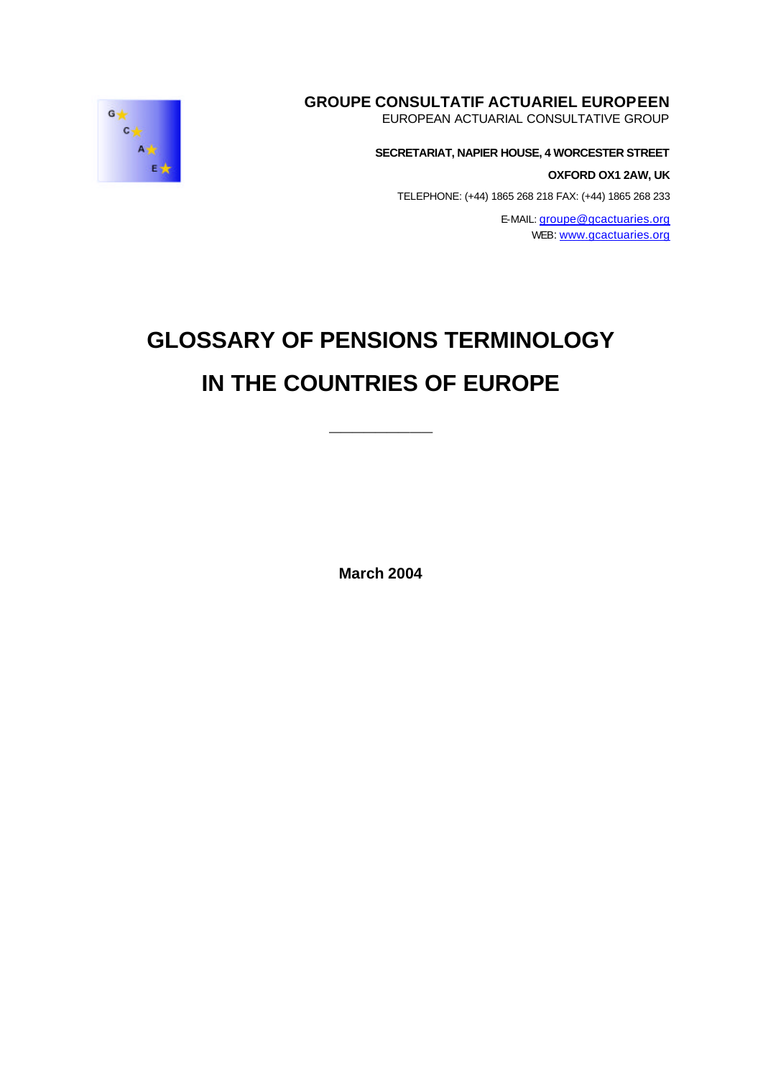## **GROUPE CONSULTATIF ACTUARIEL EUROPEEN**

EUROPEAN ACTUARIAL CONSULTATIVE GROUP

#### **SECRETARIAT, NAPIER HOUSE, 4 WORCESTER STREET**

**OXFORD OX1 2AW, UK**

TELEPHONE: (+44) 1865 268 218 FAX: (+44) 1865 268 233

E-MAIL: groupe@gcactuaries.org WEB: www.gcactuaries.org

# **GLOSSARY OF PENSIONS TERMINOLOGY IN THE COUNTRIES OF EUROPE**

**\_\_\_\_\_\_\_\_\_**

**March 2004**

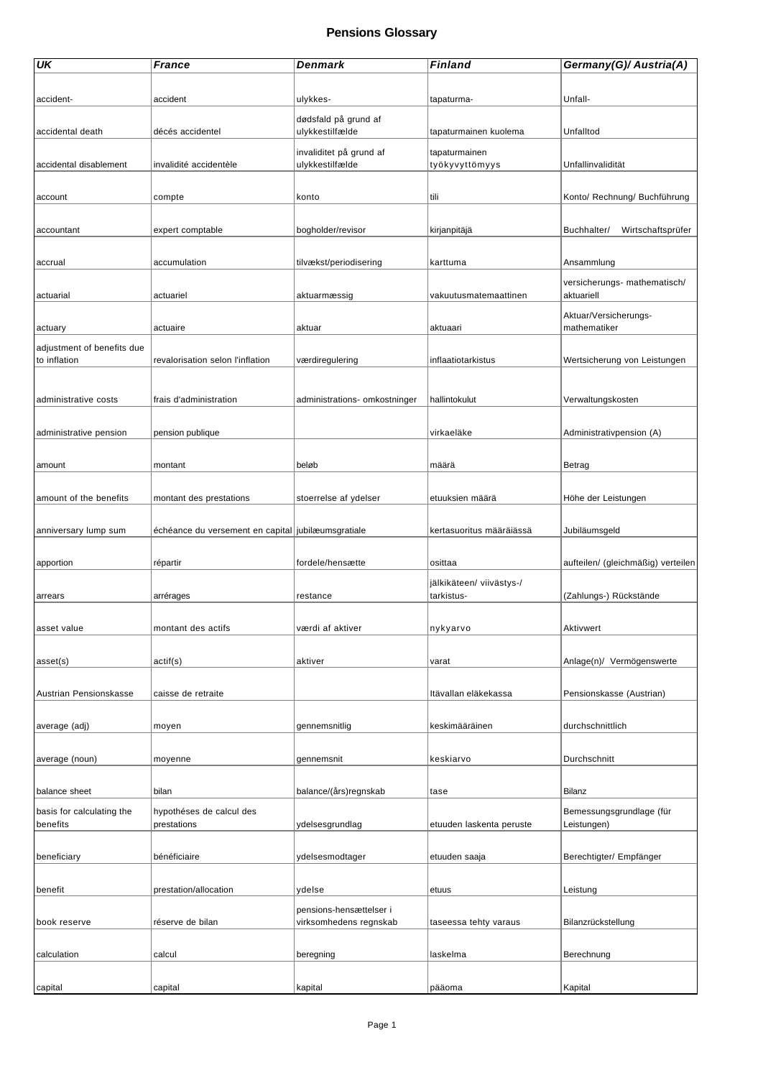| <b>UK</b>                  | <b>France</b>                                      | Denmark                       | Finland                  | Germany(G)/ Austria(A)             |
|----------------------------|----------------------------------------------------|-------------------------------|--------------------------|------------------------------------|
|                            |                                                    |                               |                          |                                    |
| accident-                  | accident                                           | ulykkes-                      |                          | Unfall-                            |
|                            |                                                    |                               | tapaturma-               |                                    |
|                            |                                                    | dødsfald på grund af          |                          |                                    |
| accidental death           | décés accidentel                                   | ulykkestilfælde               | tapaturmainen kuolema    | Unfalltod                          |
|                            |                                                    | invaliditet på grund af       | tapaturmainen            |                                    |
| accidental disablement     | invalidité accidentèle                             | ulykkestilfælde               | työkyvyttömyys           | Unfallinvalidität                  |
|                            |                                                    |                               |                          |                                    |
|                            |                                                    | konto                         | tili                     | Konto/ Rechnung/ Buchführung       |
| account                    | compte                                             |                               |                          |                                    |
|                            |                                                    |                               |                          |                                    |
| accountant                 | expert comptable                                   | bogholder/revisor             | kirjanpitäjä             | Buchhalter/<br>Wirtschaftsprüfer   |
|                            |                                                    |                               |                          |                                    |
| accrual                    | accumulation                                       | tilvækst/periodisering        | karttuma                 | Ansammlung                         |
|                            |                                                    |                               |                          |                                    |
|                            |                                                    |                               |                          | versicherungs- mathematisch/       |
| actuarial                  | actuariel                                          | aktuarmæssig                  | vakuutusmatemaattinen    | aktuariell                         |
|                            |                                                    |                               |                          | Aktuar/Versicherungs-              |
| actuary                    | actuaire                                           | aktuar                        | aktuaari                 | mathematiker                       |
| adjustment of benefits due |                                                    |                               |                          |                                    |
| to inflation               | revalorisation selon l'inflation                   | værdiregulering               | inflaatiotarkistus       | Wertsicherung von Leistungen       |
|                            |                                                    |                               |                          |                                    |
|                            |                                                    |                               |                          |                                    |
| administrative costs       | frais d'administration                             | administrations- omkostninger | hallintokulut            | Verwaltungskosten                  |
|                            |                                                    |                               |                          |                                    |
|                            |                                                    |                               |                          |                                    |
| administrative pension     | pension publique                                   |                               | virkaeläke               | Administrativpension (A)           |
|                            |                                                    |                               |                          |                                    |
| amount                     | montant                                            | beløb                         | määrä                    | Betrag                             |
|                            |                                                    |                               |                          |                                    |
| amount of the benefits     | montant des prestations                            | stoerrelse af ydelser         | etuuksien määrä          | Höhe der Leistungen                |
|                            |                                                    |                               |                          |                                    |
|                            |                                                    |                               |                          |                                    |
| anniversary lump sum       | échéance du versement en capital jubilæumsgratiale |                               | kertasuoritus määräiässä | Jubiläumsgeld                      |
|                            |                                                    |                               |                          |                                    |
| apportion                  | répartir                                           | fordele/hensætte              | osittaa                  | aufteilen/ (gleichmäßig) verteilen |
|                            |                                                    |                               | jälkikäteen/ viivästys-/ |                                    |
| arrears                    | arrérages                                          | restance                      | tarkistus-               | (Zahlungs-) Rückstände             |
|                            |                                                    |                               |                          |                                    |
|                            | montant des actifs                                 | værdi af aktiver              | nvkvarvo                 | Aktivwert                          |
| asset value                |                                                    |                               |                          |                                    |
|                            |                                                    |                               |                          |                                    |
| asset(s)                   | actif(s)                                           | aktiver                       | varat                    | Anlage(n)/ Vermögenswerte          |
|                            |                                                    |                               |                          |                                    |
| Austrian Pensionskasse     | caisse de retraite                                 |                               | Itävallan eläkekassa     | Pensionskasse (Austrian)           |
|                            |                                                    |                               |                          |                                    |
|                            |                                                    |                               | keskimääräinen           | durchschnittlich                   |
| average (adj)              | moyen                                              | gennemsnitlig                 |                          |                                    |
|                            |                                                    |                               |                          |                                    |
| average (noun)             | moyenne                                            | gennemsnit                    | keskiarvo                | Durchschnitt                       |
|                            |                                                    |                               |                          |                                    |
| balance sheet              | bilan                                              | balance/(års)regnskab         | tase                     | Bilanz                             |
|                            |                                                    |                               |                          |                                    |
| basis for calculating the  | hypothéses de calcul des                           |                               |                          | Bemessungsgrundlage (für           |
| benefits                   | prestations                                        | ydelsesgrundlag               | etuuden laskenta peruste | Leistungen)                        |
|                            |                                                    |                               |                          |                                    |
| beneficiary                | bénéficiaire                                       | ydelsesmodtager               | etuuden saaja            | Berechtigter/ Empfänger            |
|                            |                                                    |                               |                          |                                    |
| benefit                    | prestation/allocation                              | ydelse                        | etuus                    | Leistung                           |
|                            |                                                    |                               |                          |                                    |
|                            |                                                    | pensions-hensættelser i       |                          |                                    |
| book reserve               | réserve de bilan                                   | virksomhedens regnskab        | taseessa tehty varaus    | Bilanzrückstellung                 |
|                            |                                                    |                               |                          |                                    |
| calculation                | calcul                                             | beregning                     | laskelma                 | Berechnung                         |
|                            |                                                    |                               |                          |                                    |
| capital                    | capital                                            | kapital                       | pääoma                   | Kapital                            |
|                            |                                                    |                               |                          |                                    |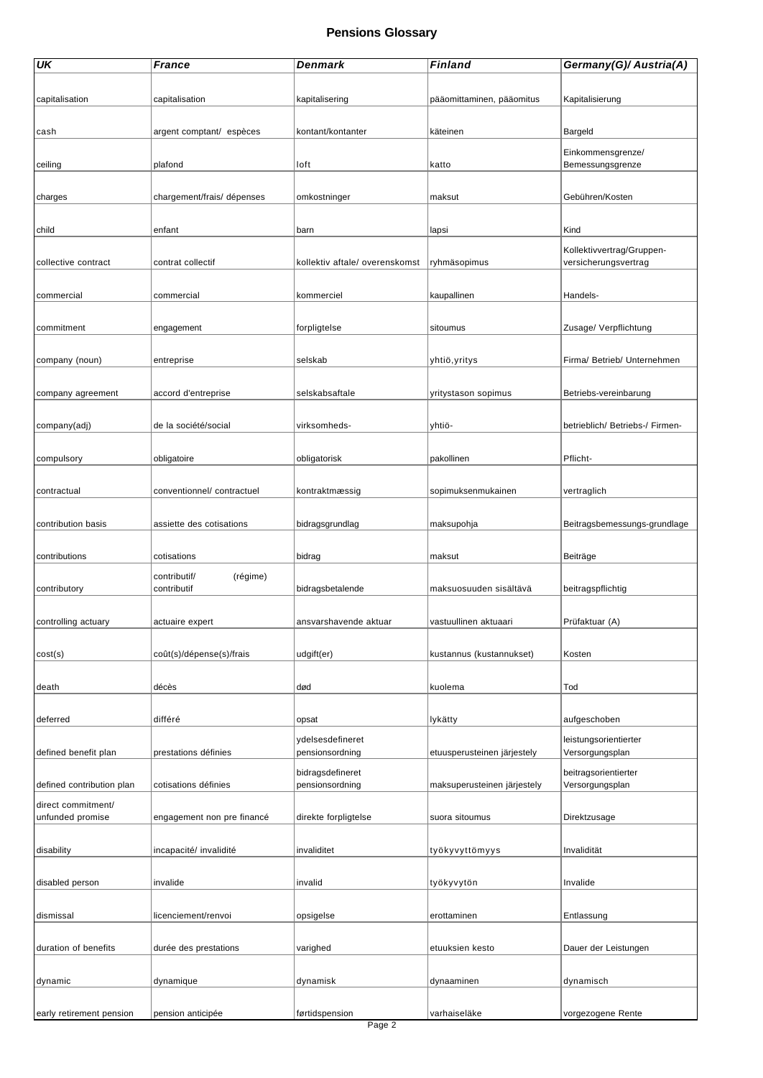| UK                        | <b>France</b>              | Denmark                        | Finland                     | Germany(G)/ Austria(A)                            |
|---------------------------|----------------------------|--------------------------------|-----------------------------|---------------------------------------------------|
|                           |                            |                                |                             |                                                   |
| capitalisation            | capitalisation             | kapitalisering                 | pääomittaminen, pääomitus   | Kapitalisierung                                   |
|                           |                            |                                |                             |                                                   |
| cash                      | argent comptant/ espèces   | kontant/kontanter              | käteinen                    | Bargeld                                           |
|                           |                            |                                |                             | Einkommensgrenze/                                 |
| ceiling                   | plafond                    | loft                           | katto                       | Bemessungsgrenze                                  |
|                           |                            |                                |                             |                                                   |
| charges                   | chargement/frais/ dépenses | omkostninger                   | maksut                      | Gebühren/Kosten                                   |
| child                     | enfant                     | barn                           | lapsi                       | Kind                                              |
|                           |                            |                                |                             |                                                   |
| collective contract       | contrat collectif          | kollektiv aftale/ overenskomst | ryhmäsopimus                | Kollektivvertrag/Gruppen-<br>versicherungsvertrag |
|                           |                            |                                |                             |                                                   |
| commercial                | commercial                 | kommerciel                     | kaupallinen                 | Handels-                                          |
|                           |                            |                                |                             |                                                   |
| commitment                | engagement                 | forpligtelse                   | sitoumus                    | Zusage/ Verpflichtung                             |
|                           |                            |                                |                             |                                                   |
| company (noun)            | entreprise                 | selskab                        | yhtiö,yritys                | Firma/ Betrieb/ Unternehmen                       |
|                           |                            |                                |                             |                                                   |
| company agreement         | accord d'entreprise        | selskabsaftale                 | yritystason sopimus         | Betriebs-vereinbarung                             |
|                           |                            |                                |                             |                                                   |
| company(adj)              | de la société/social       | virksomheds-                   | yhtiö-                      | betrieblich/ Betriebs-/ Firmen-                   |
| compulsory                | obligatoire                | obligatorisk                   | pakollinen                  | Pflicht-                                          |
|                           |                            |                                |                             |                                                   |
| contractual               | conventionnel/ contractuel | kontraktmæssig                 | sopimuksenmukainen          | vertraglich                                       |
|                           |                            |                                |                             |                                                   |
| contribution basis        | assiette des cotisations   | bidragsgrundlag                | maksupohja                  | Beitragsbemessungs-grundlage                      |
|                           |                            |                                |                             |                                                   |
| contributions             | cotisations                | bidrag                         | maksut                      | Beiträge                                          |
|                           | (régime)<br>contributif/   |                                |                             |                                                   |
| contributory              | contributif                | bidragsbetalende               | maksuosuuden sisältävä      | beitragspflichtig                                 |
|                           |                            |                                |                             |                                                   |
| controlling actuary       | actuaire expert            | ansvarshavende aktuar          | vastuullinen aktuaari       | Prüfaktuar (A)                                    |
|                           |                            |                                |                             |                                                   |
| cost(s)                   | coût(s)/dépense(s)/frais   | udgift(er)                     | kustannus (kustannukset)    | Kosten                                            |
|                           | décès                      | død                            |                             | Tod                                               |
| death                     |                            |                                | kuolema                     |                                                   |
| deferred                  | différé                    | opsat                          | lykätty                     | aufgeschoben                                      |
|                           |                            | ydelsesdefineret               |                             | leistungsorientierter                             |
| defined benefit plan      | prestations définies       | pensionsordning                | etuusperusteinen järjestely | Versorgungsplan                                   |
|                           |                            | bidragsdefineret               |                             | beitragsorientierter                              |
| defined contribution plan | cotisations définies       | pensionsordning                | maksuperusteinen järjestely | Versorgungsplan                                   |
| direct commitment/        |                            |                                |                             |                                                   |
| unfunded promise          | engagement non pre financé | direkte forpligtelse           | suora sitoumus              | Direktzusage                                      |
|                           |                            |                                |                             |                                                   |
| disability                | incapacité/ invalidité     | invaliditet                    | työkyvyttömyys              | Invalidität                                       |
|                           |                            |                                |                             |                                                   |
| disabled person           | invalide                   | invalid                        | työkyvytön                  | Invalide                                          |
| dismissal                 | licenciement/renvoi        | opsigelse                      | erottaminen                 | Entlassung                                        |
|                           |                            |                                |                             |                                                   |
| duration of benefits      | durée des prestations      | varighed                       | etuuksien kesto             | Dauer der Leistungen                              |
|                           |                            |                                |                             |                                                   |
| dynamic                   | dynamique                  | dynamisk                       | dynaaminen                  | dynamisch                                         |
|                           |                            |                                |                             |                                                   |
| early retirement pension  | pension anticipée          | førtidspension                 | varhaiseläke                | vorgezogene Rente                                 |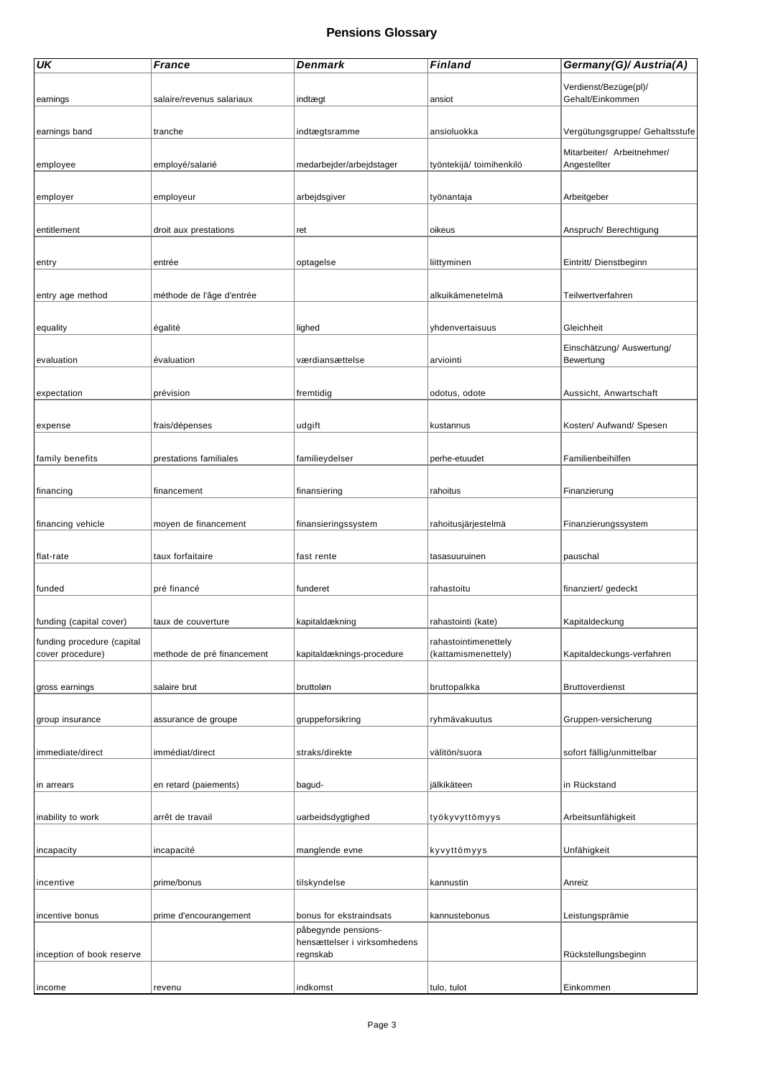| UK                         | France                     | Denmark                      | Finland                  | Germany(G)/ Austria(A)         |
|----------------------------|----------------------------|------------------------------|--------------------------|--------------------------------|
|                            |                            |                              |                          | Verdienst/Bezüge(pl)/          |
| earnings                   | salaire/revenus salariaux  | indtægt                      | ansiot                   | Gehalt/Einkommen               |
|                            |                            |                              |                          |                                |
| earnings band              | tranche                    | indtægtsramme                | ansioluokka              | Vergütungsgruppe/ Gehaltsstufe |
|                            |                            |                              |                          | Mitarbeiter/ Arbeitnehmer/     |
| employee                   | employé/salarié            | medarbejder/arbejdstager     | työntekijä/ toimihenkilö | Angestellter                   |
|                            |                            |                              |                          |                                |
| employer                   | employeur                  | arbejdsgiver                 | työnantaja               | Arbeitgeber                    |
|                            |                            |                              |                          |                                |
| entitlement                | droit aux prestations      | ret                          | oikeus                   | Anspruch/ Berechtigung         |
|                            |                            |                              |                          |                                |
| entry                      | entrée                     | optagelse                    | liittyminen              | Eintritt/ Dienstbeginn         |
|                            |                            |                              |                          |                                |
| entry age method           | méthode de l'âge d'entrée  |                              | alkuikämenetelmä         | Teilwertverfahren              |
|                            |                            |                              |                          |                                |
| equality                   | égalité                    | lighed                       | yhdenvertaisuus          | Gleichheit                     |
|                            |                            |                              |                          | Einschätzung/ Auswertung/      |
| evaluation                 | évaluation                 | værdiansættelse              | arviointi                | Bewertung                      |
|                            |                            |                              |                          |                                |
| expectation                | prévision                  | fremtidig                    | odotus, odote            | Aussicht, Anwartschaft         |
|                            |                            |                              |                          |                                |
| expense                    | frais/dépenses             | udgift                       | kustannus                | Kosten/ Aufwand/ Spesen        |
|                            |                            |                              |                          |                                |
| family benefits            | prestations familiales     | familieydelser               | perhe-etuudet            | Familienbeihilfen              |
|                            |                            |                              |                          |                                |
| financing                  | financement                | finansiering                 | rahoitus                 | Finanzierung                   |
|                            |                            |                              |                          |                                |
| financing vehicle          | moyen de financement       | finansieringssystem          | rahoitusjärjestelmä      | Finanzierungssystem            |
|                            |                            |                              |                          |                                |
| flat-rate                  | taux forfaitaire           | fast rente                   | tasasuuruinen            | pauschal                       |
|                            |                            |                              |                          |                                |
| funded                     | pré financé                | funderet                     | rahastoitu               | finanziert/ gedeckt            |
|                            |                            |                              |                          |                                |
| funding (capital cover)    | taux de couverture         | kapitaldækning               | rahastointi (kate)       | Kapitaldeckung                 |
| funding procedure (capital |                            |                              | rahastointimenettely     |                                |
| cover procedure)           | methode de pré financement | kapitaldæknings-procedure    | (kattamismenettely)      | Kapitaldeckungs-verfahren      |
|                            |                            |                              |                          |                                |
| gross earnings             | salaire brut               | bruttoløn                    | bruttopalkka             | Bruttoverdienst                |
|                            |                            |                              |                          |                                |
| group insurance            | assurance de groupe        | gruppeforsikring             | ryhmävakuutus            | Gruppen-versicherung           |
|                            |                            |                              |                          |                                |
| immediate/direct           | immédiat/direct            | straks/direkte               | välitön/suora            | sofort fällig/unmittelbar      |
|                            |                            |                              |                          |                                |
| in arrears                 | en retard (paiements)      | bagud-                       | jälkikäteen              | in Rückstand                   |
|                            |                            |                              |                          |                                |
| inability to work          | arrêt de travail           | uarbeidsdygtighed            | työkyvyttömyys           | Arbeitsunfähigkeit             |
|                            |                            |                              |                          |                                |
| incapacity                 | incapacité                 | manglende evne               | kyvyttömyys              | Unfähigkeit                    |
|                            |                            |                              |                          |                                |
| incentive                  | prime/bonus                | tilskyndelse                 | kannustin                | Anreiz                         |
|                            |                            |                              |                          |                                |
| incentive bonus            | prime d'encourangement     | bonus for ekstraindsats      | kannustebonus            | Leistungsprämie                |
|                            |                            | påbegynde pensions-          |                          |                                |
|                            |                            | hensættelser i virksomhedens |                          |                                |
| inception of book reserve  |                            | regnskab                     |                          | Rückstellungsbeginn            |
|                            |                            |                              |                          |                                |
| income                     | revenu                     | indkomst                     | tulo, tulot              | Einkommen                      |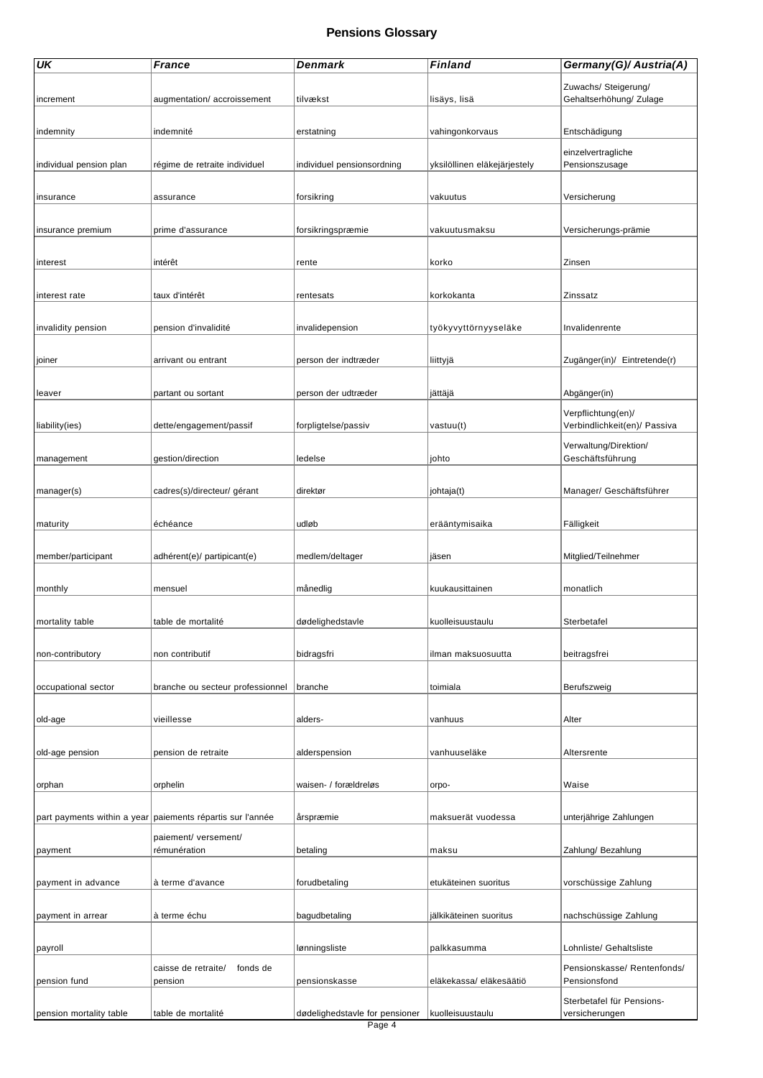| UK                      | <b>France</b>                                              | Denmark                        | Finland                      | Germany(G)/ Austria(A)                             |
|-------------------------|------------------------------------------------------------|--------------------------------|------------------------------|----------------------------------------------------|
|                         |                                                            |                                |                              | Zuwachs/ Steigerung/                               |
| increment               | augmentation/accroissement                                 | tilvækst                       | lisäys, lisä                 | Gehaltserhöhung/ Zulage                            |
| indemnity               | indemnité                                                  | erstatning                     | vahingonkorvaus              | Entschädigung                                      |
| individual pension plan | régime de retraite individuel                              | individuel pensionsordning     | yksilöllinen eläkejärjestely | einzelvertragliche<br>Pensionszusage               |
|                         |                                                            |                                |                              |                                                    |
| insurance               | assurance                                                  | forsikring                     | vakuutus                     | Versicherung                                       |
| insurance premium       | prime d'assurance                                          | forsikringspræmie              | vakuutusmaksu                | Versicherungs-prämie                               |
| interest                | intérêt                                                    | rente                          | korko                        | Zinsen                                             |
| interest rate           | taux d'intérêt                                             | rentesats                      | korkokanta                   | Zinssatz                                           |
|                         |                                                            |                                |                              |                                                    |
| invalidity pension      | pension d'invalidité                                       | invalidepension                | työkyvyttörnyyseläke         | Invalidenrente                                     |
| joiner                  | arrivant ou entrant                                        | person der indtræder           | liittyjä                     | Zugänger(in)/ Eintretende(r)                       |
| leaver                  | partant ou sortant                                         | person der udtræder            | jättäjä                      | Abgänger(in)                                       |
| liability(ies)          | dette/engagement/passif                                    | forpligtelse/passiv            | vastuu(t)                    | Verpflichtung(en)/<br>Verbindlichkeit(en)/ Passiva |
|                         |                                                            |                                |                              | Verwaltung/Direktion/                              |
| management              | gestion/direction                                          | ledelse                        | johto                        | Geschäftsführung                                   |
| manager(s)              | cadres(s)/directeur/ gérant                                | direktør                       | johtaja(t)                   | Manager/ Geschäftsführer                           |
| maturity                | échéance                                                   | udløb                          | erääntymisaika               | Fälligkeit                                         |
| member/participant      | adhérent(e)/ partipicant(e)                                | medlem/deltager                | jäsen                        | Mitglied/Teilnehmer                                |
|                         |                                                            |                                |                              |                                                    |
| monthly                 | mensuel                                                    | månedlig                       | kuukausittainen              | monatlich                                          |
| mortality table         | table de mortalité                                         | dødelighedstavle               | kuolleisuustaulu             | Sterbetafel                                        |
| non-contributory        | non contributif                                            | bidragsfri                     | ilman maksuosuutta           | beitragsfrei                                       |
|                         |                                                            |                                |                              |                                                    |
| occupational sector     | branche ou secteur professionnel                           | branche                        | toimiala                     | Berufszweig                                        |
| old-age                 | vieillesse                                                 | alders-                        | vanhuus                      | Alter                                              |
| old-age pension         | pension de retraite                                        | alderspension                  | vanhuuseläke                 | Altersrente                                        |
|                         |                                                            |                                |                              |                                                    |
| orphan                  | orphelin                                                   | waisen- / forældreløs          | orpo-                        | Waise                                              |
|                         | part payments within a year paiements répartis sur l'année | årspræmie                      | maksuerät vuodessa           | unterjährige Zahlungen                             |
| payment                 | paiement/ versement/<br>rémunération                       | betaling                       | maksu                        | Zahlung/ Bezahlung                                 |
|                         |                                                            |                                |                              |                                                    |
| payment in advance      | à terme d'avance                                           | forudbetaling                  | etukäteinen suoritus         | vorschüssige Zahlung                               |
| payment in arrear       | à terme échu                                               | bagudbetaling                  | jälkikäteinen suoritus       | nachschüssige Zahlung                              |
| payroll                 |                                                            | lønningsliste                  | palkkasumma                  | Lohnliste/ Gehaltsliste                            |
| pension fund            | caisse de retraite/<br>fonds de<br>pension                 | pensionskasse                  | eläkekassa/ eläkesäätiö      | Pensionskasse/ Rentenfonds/<br>Pensionsfond        |
|                         |                                                            |                                |                              | Sterbetafel für Pensions-                          |
| pension mortality table | table de mortalité                                         | dødelighedstavle for pensioner | kuolleisuustaulu             | versicherungen                                     |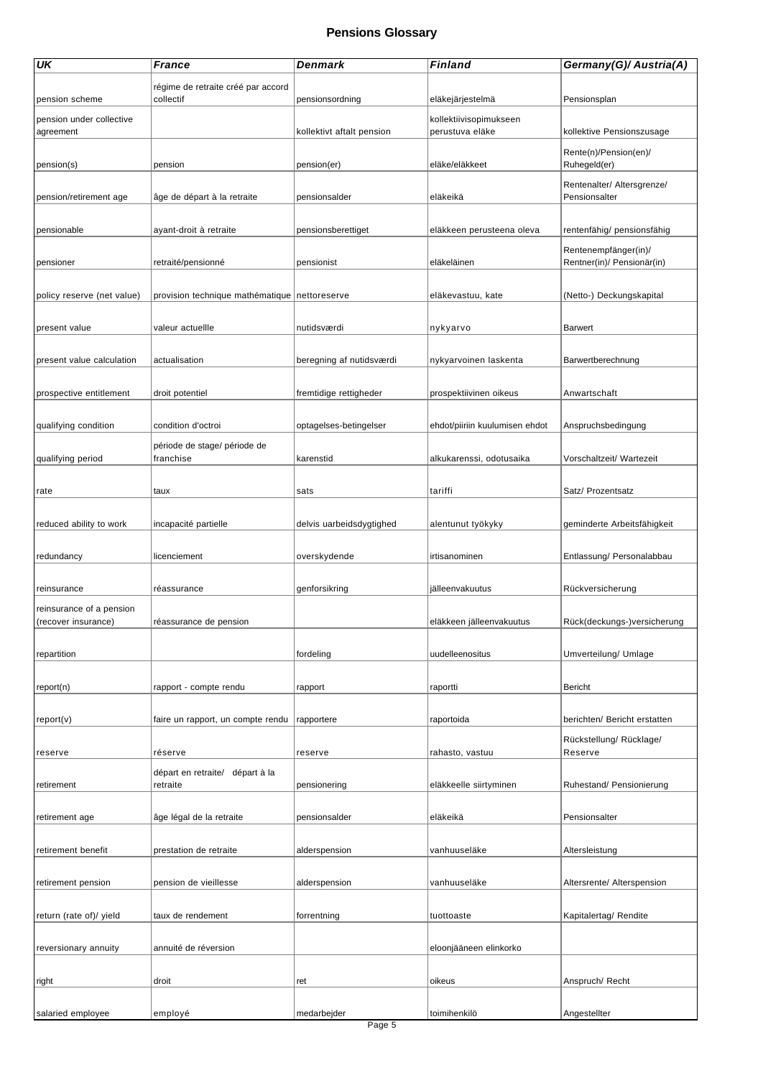| régime de retraite créé par accord<br>collectif<br>pension scheme<br>pensionsordning<br>eläkejärjestelmä<br>Pensionsplan<br>pension under collective<br>kollektiivisopimukseen<br>kollektive Pensionszusage<br>agreement<br>kollektivt aftalt pension<br>perustuva eläke<br>Rente(n)/Pension(en)/<br>eläke/eläkkeet<br>Ruhegeld(er)<br>pension(s)<br>pension<br>pension(er)<br>Rentenalter/ Altersgrenze/<br>eläkeikä<br>Pensionsalter<br>pension/retirement age<br>âge de départ à la retraite<br>pensionsalder<br>pensionable<br>ayant-droit à retraite<br>pensionsberettiget<br>eläkkeen perusteena oleva<br>rentenfähig/ pensionsfähig<br>Rentenempfänger(in)/<br>eläkeläinen<br>Rentner(in)/ Pensionär(in)<br>pensioner<br>retraité/pensionné<br>pensionist<br>provision technique mathématique nettoreserve<br>(Netto-) Deckungskapital<br>policy reserve (net value)<br>eläkevastuu, kate<br>nutidsværdi<br>present value<br>valeur actuellle<br><b>Barwert</b><br>nykyarvo<br>present value calculation<br>actualisation<br>beregning af nutidsværdi<br>nykyarvoinen laskenta<br>Barwertberechnung<br>fremtidige rettigheder<br>prospective entitlement<br>droit potentiel<br>prospektiivinen oikeus<br>Anwartschaft<br>condition d'octroi<br>qualifying condition<br>optagelses-betingelser<br>ehdot/piiriin kuulumisen ehdot<br>Anspruchsbedingung<br>période de stage/ période de<br>qualifying period<br>franchise<br>karenstid<br>alkukarenssi, odotusaika<br>Vorschaltzeit/ Wartezeit<br>tariffi<br>Satz/ Prozentsatz<br>rate<br>taux<br>sats<br>reduced ability to work<br>incapacité partielle<br>delvis uarbeidsdygtighed<br>alentunut työkyky<br>geminderte Arbeitsfähigkeit<br>overskydende<br>Entlassung/ Personalabbau<br>redundancy<br>licenciement<br>irtisanominen<br>genforsikring<br>jälleenvakuutus<br>Rückversicherung<br>reinsurance<br>réassurance<br>reinsurance of a pension<br>Rück(deckungs-)versicherung<br>(recover insurance)<br>réassurance de pension<br>eläkkeen jälleenvakuutus<br>uudelleenositus<br>Umverteilung/ Umlage<br>repartition<br>fordeling<br>Bericht<br>report(n)<br>rapport - compte rendu<br>raportti<br>rapport<br>berichten/ Bericht erstatten<br>report(v)<br>faire un rapport, un compte rendu<br>raportoida<br>rapportere<br>Rückstellung/ Rücklage/<br>Reserve<br>réserve<br>reserve<br>rahasto, vastuu<br>reserve<br>départ en retraite/ départ à la<br>Ruhestand/ Pensionierung<br>retraite<br>eläkkeelle siirtyminen<br>retirement<br>pensionering<br>âge légal de la retraite<br>eläkeikä<br>Pensionsalter<br>pensionsalder<br>retirement age<br>vanhuuseläke<br>retirement benefit<br>prestation de retraite<br>alderspension<br>Altersleistung<br>pension de vieillesse<br>vanhuuseläke<br>Altersrente/ Alterspension<br>retirement pension<br>alderspension<br>Kapitalertag/ Rendite<br>return (rate of)/ yield<br>taux de rendement<br>forrentning<br>tuottoaste<br>reversionary annuity<br>annuité de réversion<br>eloonjääneen elinkorko<br>droit<br>oikeus<br>Anspruch/Recht<br>right<br>ret | UK                | <b>France</b> | Denmark     | Finland      | Germany(G)/ Austria(A) |
|-----------------------------------------------------------------------------------------------------------------------------------------------------------------------------------------------------------------------------------------------------------------------------------------------------------------------------------------------------------------------------------------------------------------------------------------------------------------------------------------------------------------------------------------------------------------------------------------------------------------------------------------------------------------------------------------------------------------------------------------------------------------------------------------------------------------------------------------------------------------------------------------------------------------------------------------------------------------------------------------------------------------------------------------------------------------------------------------------------------------------------------------------------------------------------------------------------------------------------------------------------------------------------------------------------------------------------------------------------------------------------------------------------------------------------------------------------------------------------------------------------------------------------------------------------------------------------------------------------------------------------------------------------------------------------------------------------------------------------------------------------------------------------------------------------------------------------------------------------------------------------------------------------------------------------------------------------------------------------------------------------------------------------------------------------------------------------------------------------------------------------------------------------------------------------------------------------------------------------------------------------------------------------------------------------------------------------------------------------------------------------------------------------------------------------------------------------------------------------------------------------------------------------------------------------------------------------------------------------------------------------------------------------------------------------------------------------------------------------------------------------------------------------------------------------------------------------------------------------------------------------------------------------------------------------------------------------------------------------------------------------------------------------------------------------------------------|-------------------|---------------|-------------|--------------|------------------------|
|                                                                                                                                                                                                                                                                                                                                                                                                                                                                                                                                                                                                                                                                                                                                                                                                                                                                                                                                                                                                                                                                                                                                                                                                                                                                                                                                                                                                                                                                                                                                                                                                                                                                                                                                                                                                                                                                                                                                                                                                                                                                                                                                                                                                                                                                                                                                                                                                                                                                                                                                                                                                                                                                                                                                                                                                                                                                                                                                                                                                                                                                       |                   |               |             |              |                        |
|                                                                                                                                                                                                                                                                                                                                                                                                                                                                                                                                                                                                                                                                                                                                                                                                                                                                                                                                                                                                                                                                                                                                                                                                                                                                                                                                                                                                                                                                                                                                                                                                                                                                                                                                                                                                                                                                                                                                                                                                                                                                                                                                                                                                                                                                                                                                                                                                                                                                                                                                                                                                                                                                                                                                                                                                                                                                                                                                                                                                                                                                       |                   |               |             |              |                        |
|                                                                                                                                                                                                                                                                                                                                                                                                                                                                                                                                                                                                                                                                                                                                                                                                                                                                                                                                                                                                                                                                                                                                                                                                                                                                                                                                                                                                                                                                                                                                                                                                                                                                                                                                                                                                                                                                                                                                                                                                                                                                                                                                                                                                                                                                                                                                                                                                                                                                                                                                                                                                                                                                                                                                                                                                                                                                                                                                                                                                                                                                       |                   |               |             |              |                        |
|                                                                                                                                                                                                                                                                                                                                                                                                                                                                                                                                                                                                                                                                                                                                                                                                                                                                                                                                                                                                                                                                                                                                                                                                                                                                                                                                                                                                                                                                                                                                                                                                                                                                                                                                                                                                                                                                                                                                                                                                                                                                                                                                                                                                                                                                                                                                                                                                                                                                                                                                                                                                                                                                                                                                                                                                                                                                                                                                                                                                                                                                       |                   |               |             |              |                        |
|                                                                                                                                                                                                                                                                                                                                                                                                                                                                                                                                                                                                                                                                                                                                                                                                                                                                                                                                                                                                                                                                                                                                                                                                                                                                                                                                                                                                                                                                                                                                                                                                                                                                                                                                                                                                                                                                                                                                                                                                                                                                                                                                                                                                                                                                                                                                                                                                                                                                                                                                                                                                                                                                                                                                                                                                                                                                                                                                                                                                                                                                       |                   |               |             |              |                        |
|                                                                                                                                                                                                                                                                                                                                                                                                                                                                                                                                                                                                                                                                                                                                                                                                                                                                                                                                                                                                                                                                                                                                                                                                                                                                                                                                                                                                                                                                                                                                                                                                                                                                                                                                                                                                                                                                                                                                                                                                                                                                                                                                                                                                                                                                                                                                                                                                                                                                                                                                                                                                                                                                                                                                                                                                                                                                                                                                                                                                                                                                       |                   |               |             |              |                        |
|                                                                                                                                                                                                                                                                                                                                                                                                                                                                                                                                                                                                                                                                                                                                                                                                                                                                                                                                                                                                                                                                                                                                                                                                                                                                                                                                                                                                                                                                                                                                                                                                                                                                                                                                                                                                                                                                                                                                                                                                                                                                                                                                                                                                                                                                                                                                                                                                                                                                                                                                                                                                                                                                                                                                                                                                                                                                                                                                                                                                                                                                       |                   |               |             |              |                        |
|                                                                                                                                                                                                                                                                                                                                                                                                                                                                                                                                                                                                                                                                                                                                                                                                                                                                                                                                                                                                                                                                                                                                                                                                                                                                                                                                                                                                                                                                                                                                                                                                                                                                                                                                                                                                                                                                                                                                                                                                                                                                                                                                                                                                                                                                                                                                                                                                                                                                                                                                                                                                                                                                                                                                                                                                                                                                                                                                                                                                                                                                       |                   |               |             |              |                        |
|                                                                                                                                                                                                                                                                                                                                                                                                                                                                                                                                                                                                                                                                                                                                                                                                                                                                                                                                                                                                                                                                                                                                                                                                                                                                                                                                                                                                                                                                                                                                                                                                                                                                                                                                                                                                                                                                                                                                                                                                                                                                                                                                                                                                                                                                                                                                                                                                                                                                                                                                                                                                                                                                                                                                                                                                                                                                                                                                                                                                                                                                       |                   |               |             |              |                        |
|                                                                                                                                                                                                                                                                                                                                                                                                                                                                                                                                                                                                                                                                                                                                                                                                                                                                                                                                                                                                                                                                                                                                                                                                                                                                                                                                                                                                                                                                                                                                                                                                                                                                                                                                                                                                                                                                                                                                                                                                                                                                                                                                                                                                                                                                                                                                                                                                                                                                                                                                                                                                                                                                                                                                                                                                                                                                                                                                                                                                                                                                       |                   |               |             |              |                        |
|                                                                                                                                                                                                                                                                                                                                                                                                                                                                                                                                                                                                                                                                                                                                                                                                                                                                                                                                                                                                                                                                                                                                                                                                                                                                                                                                                                                                                                                                                                                                                                                                                                                                                                                                                                                                                                                                                                                                                                                                                                                                                                                                                                                                                                                                                                                                                                                                                                                                                                                                                                                                                                                                                                                                                                                                                                                                                                                                                                                                                                                                       |                   |               |             |              |                        |
|                                                                                                                                                                                                                                                                                                                                                                                                                                                                                                                                                                                                                                                                                                                                                                                                                                                                                                                                                                                                                                                                                                                                                                                                                                                                                                                                                                                                                                                                                                                                                                                                                                                                                                                                                                                                                                                                                                                                                                                                                                                                                                                                                                                                                                                                                                                                                                                                                                                                                                                                                                                                                                                                                                                                                                                                                                                                                                                                                                                                                                                                       |                   |               |             |              |                        |
|                                                                                                                                                                                                                                                                                                                                                                                                                                                                                                                                                                                                                                                                                                                                                                                                                                                                                                                                                                                                                                                                                                                                                                                                                                                                                                                                                                                                                                                                                                                                                                                                                                                                                                                                                                                                                                                                                                                                                                                                                                                                                                                                                                                                                                                                                                                                                                                                                                                                                                                                                                                                                                                                                                                                                                                                                                                                                                                                                                                                                                                                       |                   |               |             |              |                        |
|                                                                                                                                                                                                                                                                                                                                                                                                                                                                                                                                                                                                                                                                                                                                                                                                                                                                                                                                                                                                                                                                                                                                                                                                                                                                                                                                                                                                                                                                                                                                                                                                                                                                                                                                                                                                                                                                                                                                                                                                                                                                                                                                                                                                                                                                                                                                                                                                                                                                                                                                                                                                                                                                                                                                                                                                                                                                                                                                                                                                                                                                       |                   |               |             |              |                        |
|                                                                                                                                                                                                                                                                                                                                                                                                                                                                                                                                                                                                                                                                                                                                                                                                                                                                                                                                                                                                                                                                                                                                                                                                                                                                                                                                                                                                                                                                                                                                                                                                                                                                                                                                                                                                                                                                                                                                                                                                                                                                                                                                                                                                                                                                                                                                                                                                                                                                                                                                                                                                                                                                                                                                                                                                                                                                                                                                                                                                                                                                       |                   |               |             |              |                        |
|                                                                                                                                                                                                                                                                                                                                                                                                                                                                                                                                                                                                                                                                                                                                                                                                                                                                                                                                                                                                                                                                                                                                                                                                                                                                                                                                                                                                                                                                                                                                                                                                                                                                                                                                                                                                                                                                                                                                                                                                                                                                                                                                                                                                                                                                                                                                                                                                                                                                                                                                                                                                                                                                                                                                                                                                                                                                                                                                                                                                                                                                       |                   |               |             |              |                        |
|                                                                                                                                                                                                                                                                                                                                                                                                                                                                                                                                                                                                                                                                                                                                                                                                                                                                                                                                                                                                                                                                                                                                                                                                                                                                                                                                                                                                                                                                                                                                                                                                                                                                                                                                                                                                                                                                                                                                                                                                                                                                                                                                                                                                                                                                                                                                                                                                                                                                                                                                                                                                                                                                                                                                                                                                                                                                                                                                                                                                                                                                       |                   |               |             |              |                        |
|                                                                                                                                                                                                                                                                                                                                                                                                                                                                                                                                                                                                                                                                                                                                                                                                                                                                                                                                                                                                                                                                                                                                                                                                                                                                                                                                                                                                                                                                                                                                                                                                                                                                                                                                                                                                                                                                                                                                                                                                                                                                                                                                                                                                                                                                                                                                                                                                                                                                                                                                                                                                                                                                                                                                                                                                                                                                                                                                                                                                                                                                       |                   |               |             |              |                        |
|                                                                                                                                                                                                                                                                                                                                                                                                                                                                                                                                                                                                                                                                                                                                                                                                                                                                                                                                                                                                                                                                                                                                                                                                                                                                                                                                                                                                                                                                                                                                                                                                                                                                                                                                                                                                                                                                                                                                                                                                                                                                                                                                                                                                                                                                                                                                                                                                                                                                                                                                                                                                                                                                                                                                                                                                                                                                                                                                                                                                                                                                       |                   |               |             |              |                        |
|                                                                                                                                                                                                                                                                                                                                                                                                                                                                                                                                                                                                                                                                                                                                                                                                                                                                                                                                                                                                                                                                                                                                                                                                                                                                                                                                                                                                                                                                                                                                                                                                                                                                                                                                                                                                                                                                                                                                                                                                                                                                                                                                                                                                                                                                                                                                                                                                                                                                                                                                                                                                                                                                                                                                                                                                                                                                                                                                                                                                                                                                       |                   |               |             |              |                        |
|                                                                                                                                                                                                                                                                                                                                                                                                                                                                                                                                                                                                                                                                                                                                                                                                                                                                                                                                                                                                                                                                                                                                                                                                                                                                                                                                                                                                                                                                                                                                                                                                                                                                                                                                                                                                                                                                                                                                                                                                                                                                                                                                                                                                                                                                                                                                                                                                                                                                                                                                                                                                                                                                                                                                                                                                                                                                                                                                                                                                                                                                       |                   |               |             |              |                        |
|                                                                                                                                                                                                                                                                                                                                                                                                                                                                                                                                                                                                                                                                                                                                                                                                                                                                                                                                                                                                                                                                                                                                                                                                                                                                                                                                                                                                                                                                                                                                                                                                                                                                                                                                                                                                                                                                                                                                                                                                                                                                                                                                                                                                                                                                                                                                                                                                                                                                                                                                                                                                                                                                                                                                                                                                                                                                                                                                                                                                                                                                       |                   |               |             |              |                        |
|                                                                                                                                                                                                                                                                                                                                                                                                                                                                                                                                                                                                                                                                                                                                                                                                                                                                                                                                                                                                                                                                                                                                                                                                                                                                                                                                                                                                                                                                                                                                                                                                                                                                                                                                                                                                                                                                                                                                                                                                                                                                                                                                                                                                                                                                                                                                                                                                                                                                                                                                                                                                                                                                                                                                                                                                                                                                                                                                                                                                                                                                       |                   |               |             |              |                        |
|                                                                                                                                                                                                                                                                                                                                                                                                                                                                                                                                                                                                                                                                                                                                                                                                                                                                                                                                                                                                                                                                                                                                                                                                                                                                                                                                                                                                                                                                                                                                                                                                                                                                                                                                                                                                                                                                                                                                                                                                                                                                                                                                                                                                                                                                                                                                                                                                                                                                                                                                                                                                                                                                                                                                                                                                                                                                                                                                                                                                                                                                       |                   |               |             |              |                        |
|                                                                                                                                                                                                                                                                                                                                                                                                                                                                                                                                                                                                                                                                                                                                                                                                                                                                                                                                                                                                                                                                                                                                                                                                                                                                                                                                                                                                                                                                                                                                                                                                                                                                                                                                                                                                                                                                                                                                                                                                                                                                                                                                                                                                                                                                                                                                                                                                                                                                                                                                                                                                                                                                                                                                                                                                                                                                                                                                                                                                                                                                       |                   |               |             |              |                        |
|                                                                                                                                                                                                                                                                                                                                                                                                                                                                                                                                                                                                                                                                                                                                                                                                                                                                                                                                                                                                                                                                                                                                                                                                                                                                                                                                                                                                                                                                                                                                                                                                                                                                                                                                                                                                                                                                                                                                                                                                                                                                                                                                                                                                                                                                                                                                                                                                                                                                                                                                                                                                                                                                                                                                                                                                                                                                                                                                                                                                                                                                       |                   |               |             |              |                        |
|                                                                                                                                                                                                                                                                                                                                                                                                                                                                                                                                                                                                                                                                                                                                                                                                                                                                                                                                                                                                                                                                                                                                                                                                                                                                                                                                                                                                                                                                                                                                                                                                                                                                                                                                                                                                                                                                                                                                                                                                                                                                                                                                                                                                                                                                                                                                                                                                                                                                                                                                                                                                                                                                                                                                                                                                                                                                                                                                                                                                                                                                       |                   |               |             |              |                        |
|                                                                                                                                                                                                                                                                                                                                                                                                                                                                                                                                                                                                                                                                                                                                                                                                                                                                                                                                                                                                                                                                                                                                                                                                                                                                                                                                                                                                                                                                                                                                                                                                                                                                                                                                                                                                                                                                                                                                                                                                                                                                                                                                                                                                                                                                                                                                                                                                                                                                                                                                                                                                                                                                                                                                                                                                                                                                                                                                                                                                                                                                       |                   |               |             |              |                        |
|                                                                                                                                                                                                                                                                                                                                                                                                                                                                                                                                                                                                                                                                                                                                                                                                                                                                                                                                                                                                                                                                                                                                                                                                                                                                                                                                                                                                                                                                                                                                                                                                                                                                                                                                                                                                                                                                                                                                                                                                                                                                                                                                                                                                                                                                                                                                                                                                                                                                                                                                                                                                                                                                                                                                                                                                                                                                                                                                                                                                                                                                       |                   |               |             |              |                        |
|                                                                                                                                                                                                                                                                                                                                                                                                                                                                                                                                                                                                                                                                                                                                                                                                                                                                                                                                                                                                                                                                                                                                                                                                                                                                                                                                                                                                                                                                                                                                                                                                                                                                                                                                                                                                                                                                                                                                                                                                                                                                                                                                                                                                                                                                                                                                                                                                                                                                                                                                                                                                                                                                                                                                                                                                                                                                                                                                                                                                                                                                       |                   |               |             |              |                        |
|                                                                                                                                                                                                                                                                                                                                                                                                                                                                                                                                                                                                                                                                                                                                                                                                                                                                                                                                                                                                                                                                                                                                                                                                                                                                                                                                                                                                                                                                                                                                                                                                                                                                                                                                                                                                                                                                                                                                                                                                                                                                                                                                                                                                                                                                                                                                                                                                                                                                                                                                                                                                                                                                                                                                                                                                                                                                                                                                                                                                                                                                       |                   |               |             |              |                        |
|                                                                                                                                                                                                                                                                                                                                                                                                                                                                                                                                                                                                                                                                                                                                                                                                                                                                                                                                                                                                                                                                                                                                                                                                                                                                                                                                                                                                                                                                                                                                                                                                                                                                                                                                                                                                                                                                                                                                                                                                                                                                                                                                                                                                                                                                                                                                                                                                                                                                                                                                                                                                                                                                                                                                                                                                                                                                                                                                                                                                                                                                       |                   |               |             |              |                        |
|                                                                                                                                                                                                                                                                                                                                                                                                                                                                                                                                                                                                                                                                                                                                                                                                                                                                                                                                                                                                                                                                                                                                                                                                                                                                                                                                                                                                                                                                                                                                                                                                                                                                                                                                                                                                                                                                                                                                                                                                                                                                                                                                                                                                                                                                                                                                                                                                                                                                                                                                                                                                                                                                                                                                                                                                                                                                                                                                                                                                                                                                       | salaried employee | employé       | medarbejder | toimihenkilö | Angestellter           |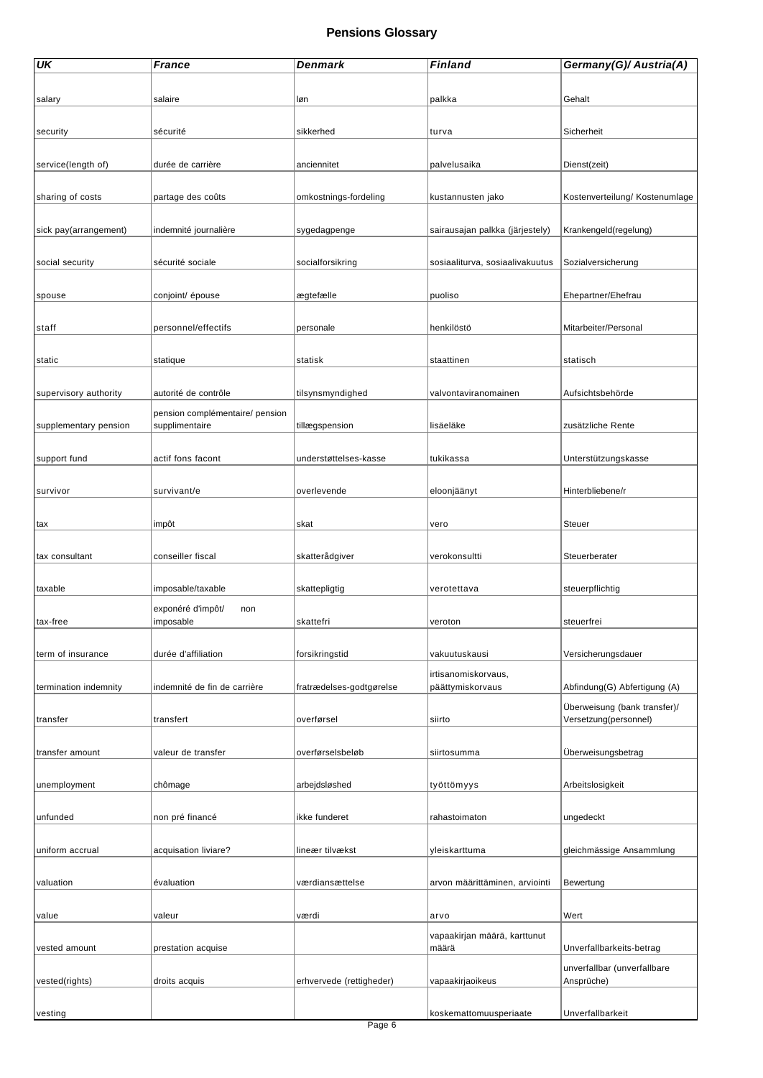| <b>UK</b>             | <b>France</b>                                     | Denmark                  | <b>Finland</b>                  | Germany(G)/ Austria(A)         |
|-----------------------|---------------------------------------------------|--------------------------|---------------------------------|--------------------------------|
|                       |                                                   |                          |                                 |                                |
| salary                | salaire                                           | løn                      | palkka                          | Gehalt                         |
|                       |                                                   |                          |                                 |                                |
| security              | sécurité                                          | sikkerhed                | turva                           | Sicherheit                     |
|                       |                                                   |                          |                                 |                                |
| service(length of)    | durée de carrière                                 | anciennitet              | palvelusaika                    | Dienst(zeit)                   |
|                       |                                                   |                          |                                 |                                |
| sharing of costs      | partage des coûts                                 | omkostnings-fordeling    | kustannusten jako               | Kostenverteilung/ Kostenumlage |
|                       |                                                   |                          |                                 |                                |
| sick pay(arrangement) | indemnité journalière                             | sygedagpenge             | sairausajan palkka (järjestely) | Krankengeld(regelung)          |
|                       |                                                   |                          |                                 |                                |
| social security       | sécurité sociale                                  | socialforsikring         | sosiaaliturva, sosiaalivakuutus | Sozialversicherung             |
|                       |                                                   |                          |                                 |                                |
| spouse                | conjoint/ épouse                                  | ægtefælle                | puoliso                         | Ehepartner/Ehefrau             |
|                       |                                                   |                          |                                 |                                |
| staff                 | personnel/effectifs                               | personale                | henkilöstö                      | Mitarbeiter/Personal           |
|                       |                                                   |                          |                                 |                                |
| static                | statique                                          | statisk                  | staattinen                      | statisch                       |
|                       |                                                   |                          |                                 |                                |
| supervisory authority | autorité de contrôle                              | tilsynsmyndighed         | valvontaviranomainen            | Aufsichtsbehörde               |
|                       |                                                   |                          |                                 |                                |
| supplementary pension | pension complémentaire/ pension<br>supplimentaire | tillægspension           | lisäeläke                       | zusätzliche Rente              |
|                       |                                                   |                          |                                 |                                |
|                       | actif fons facont                                 |                          | tukikassa                       |                                |
| support fund          |                                                   | understøttelses-kasse    |                                 | Unterstützungskasse            |
|                       |                                                   |                          |                                 |                                |
| survivor              | survivant/e                                       | overlevende              | eloonjäänyt                     | Hinterbliebene/r               |
|                       |                                                   |                          |                                 |                                |
| tax                   | impôt                                             | skat                     | vero                            | Steuer                         |
|                       |                                                   |                          |                                 |                                |
| tax consultant        | conseiller fiscal                                 | skatterådgiver           | verokonsultti                   | Steuerberater                  |
|                       |                                                   |                          |                                 |                                |
| taxable               | imposable/taxable                                 | skattepligtig            | verotettava                     | steuerpflichtig                |
|                       | exponéré d'impôt/<br>non                          |                          |                                 |                                |
| tax-free              | imposable                                         | skattefri                | veroton                         | steuerfrei                     |
|                       |                                                   |                          |                                 |                                |
| term of insurance     | durée d'affiliation                               | forsikringstid           | vakuutuskausi                   | Versicherungsdauer             |
|                       |                                                   |                          | irtisanomiskorvaus,             |                                |
| termination indemnity | indemnité de fin de carrière                      | fratrædelses-godtgørelse | päättymiskorvaus                | Abfindung(G) Abfertigung (A)   |
|                       |                                                   |                          |                                 | Überweisung (bank transfer)/   |
| transfer              | transfert                                         | overførsel               | siirto                          | Versetzung(personnel)          |
|                       |                                                   |                          |                                 |                                |
| transfer amount       | valeur de transfer                                | overførselsbeløb         | siirtosumma                     | Überweisungsbetrag             |
|                       |                                                   |                          |                                 |                                |
| unemployment          | chômage                                           | arbejdsløshed            | työttömyys                      | Arbeitslosigkeit               |
|                       |                                                   |                          |                                 |                                |
| unfunded              | non pré financé                                   | ikke funderet            | rahastoimaton                   | ungedeckt                      |
|                       |                                                   |                          |                                 |                                |
| uniform accrual       | acquisation liviare?                              | lineær tilvækst          | yleiskarttuma                   | gleichmässige Ansammlung       |
|                       |                                                   |                          |                                 |                                |
| valuation             | évaluation                                        | værdiansættelse          | arvon määrittäminen, arviointi  | Bewertung                      |
|                       |                                                   |                          |                                 |                                |
| value                 | valeur                                            | værdi                    | arvo                            | Wert                           |
|                       |                                                   |                          | vapaakirjan määrä, karttunut    |                                |
| vested amount         | prestation acquise                                |                          | määrä                           | Unverfallbarkeits-betrag       |
|                       |                                                   |                          |                                 | unverfallbar (unverfallbare    |
| vested(rights)        | droits acquis                                     | erhvervede (rettigheder) | vapaakirjaoikeus                | Ansprüche)                     |
|                       |                                                   |                          |                                 |                                |
| vesting               |                                                   |                          | koskemattomuusperiaate          | Unverfallbarkeit               |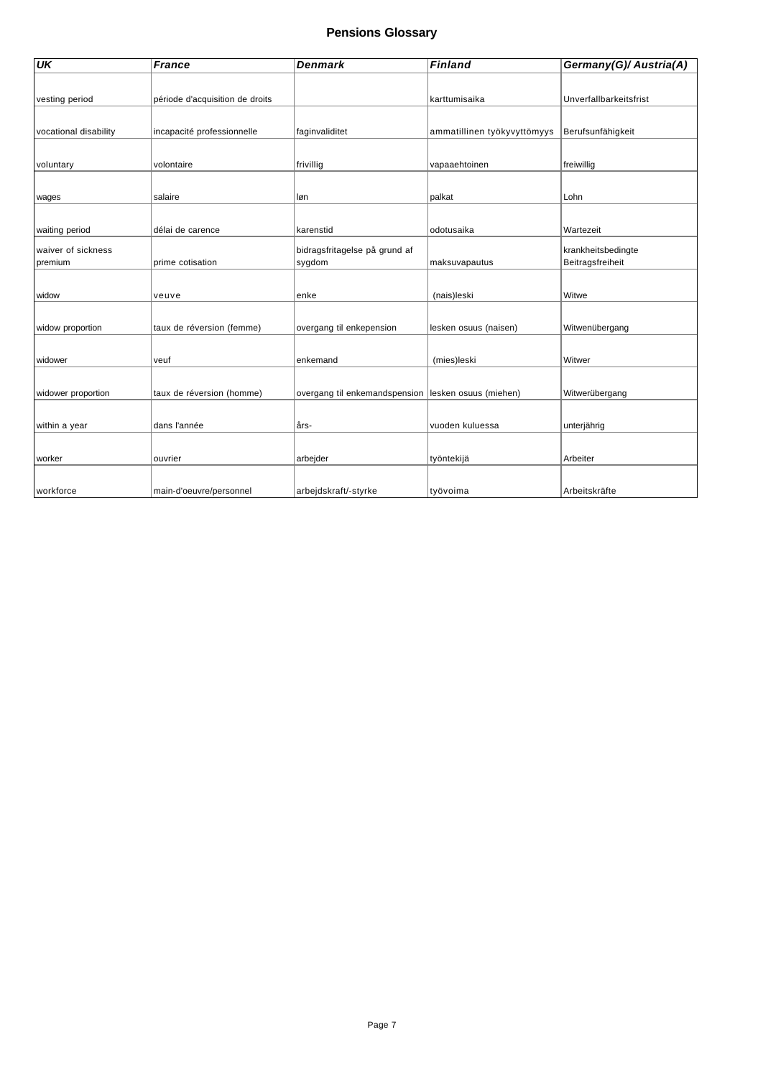| <b>UK</b>             | <b>France</b>                   | <b>Denmark</b>                | <b>Finland</b>              | Germany(G)/ Austria(A) |
|-----------------------|---------------------------------|-------------------------------|-----------------------------|------------------------|
|                       |                                 |                               |                             |                        |
| vesting period        | période d'acquisition de droits |                               | karttumisaika               | Unverfallbarkeitsfrist |
|                       |                                 |                               |                             |                        |
| vocational disability | incapacité professionnelle      | faginvaliditet                | ammatillinen työkyvyttömyys | Berufsunfähigkeit      |
|                       |                                 |                               |                             |                        |
| voluntary             | volontaire                      | frivillig                     | vapaaehtoinen               | freiwillig             |
|                       |                                 |                               |                             |                        |
| wages                 | salaire                         | løn                           | palkat                      | Lohn                   |
|                       |                                 |                               |                             |                        |
| waiting period        | délai de carence                | karenstid                     | odotusaika                  | Wartezeit              |
| waiver of sickness    |                                 | bidragsfritagelse på grund af |                             | krankheitsbedingte     |
| premium               | prime cotisation                | sygdom                        | maksuvapautus               | Beitragsfreiheit       |
|                       |                                 |                               |                             |                        |
| widow                 | veuve                           | enke                          | (nais)leski                 | Witwe                  |
|                       |                                 |                               |                             |                        |
| widow proportion      | taux de réversion (femme)       | overgang til enkepension      | lesken osuus (naisen)       | Witwenübergang         |
|                       |                                 |                               |                             |                        |
| widower               | veuf                            | enkemand                      | (mies)leski                 | Witwer                 |
|                       |                                 |                               |                             |                        |
| widower proportion    | taux de réversion (homme)       | overgang til enkemandspension | lesken osuus (miehen)       | Witwerübergang         |
|                       |                                 |                               |                             |                        |
| within a year         | dans l'année                    | års-                          | vuoden kuluessa             | unterjährig            |
|                       |                                 |                               |                             |                        |
| worker                | ouvrier                         | arbejder                      | työntekijä                  | Arbeiter               |
|                       |                                 |                               |                             |                        |
| workforce             | main-d'oeuvre/personnel         | arbejdskraft/-styrke          | työvoima                    | Arbeitskräfte          |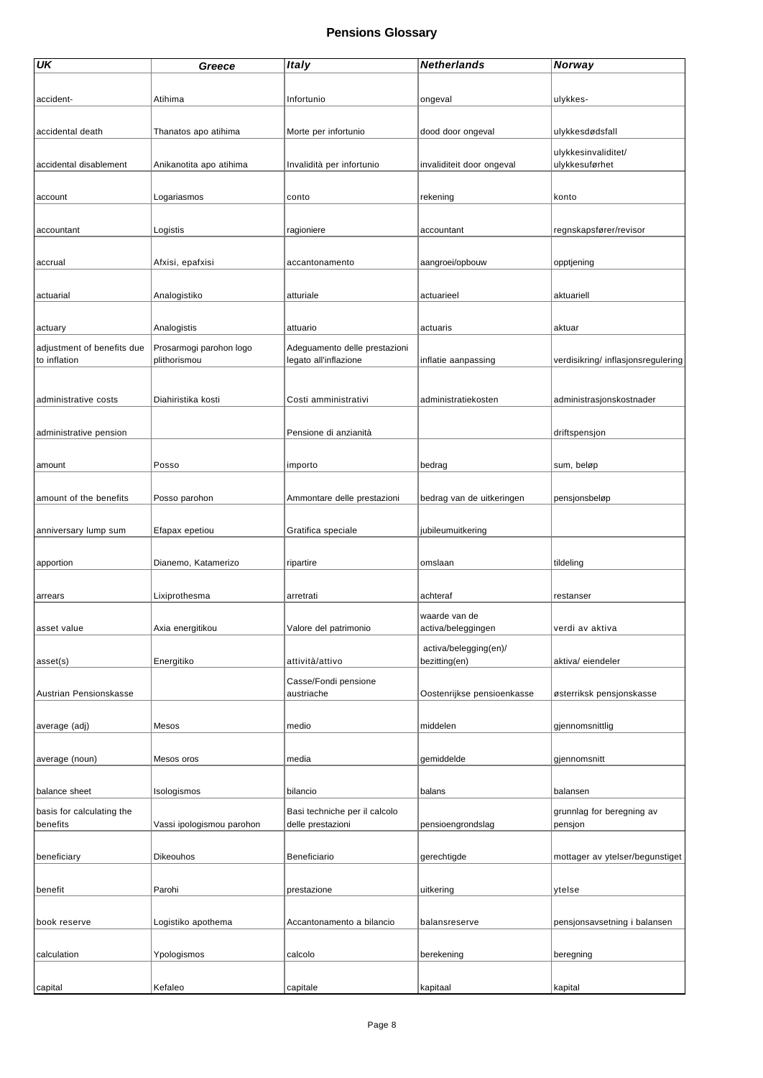| UK                         | Greece                    | <b>Italy</b>                  | <b>Netherlands</b>         | Norway                             |
|----------------------------|---------------------------|-------------------------------|----------------------------|------------------------------------|
|                            |                           |                               |                            |                                    |
| accident-                  | Atihima                   | Infortunio                    | ongeval                    | ulykkes-                           |
|                            |                           |                               |                            |                                    |
|                            |                           |                               |                            |                                    |
| accidental death           | Thanatos apo atihima      | Morte per infortunio          | dood door ongeval          | ulykkesdødsfall                    |
|                            |                           |                               |                            | ulykkesinvaliditet/                |
| accidental disablement     | Anikanotita apo atihima   | Invalidità per infortunio     | invaliditeit door ongeval  | ulykkesuførhet                     |
|                            |                           |                               |                            |                                    |
| account                    | Logariasmos               | conto                         | rekening                   | konto                              |
|                            |                           |                               |                            |                                    |
| accountant                 | Logistis                  | ragioniere                    | accountant                 | regnskapsfører/revisor             |
|                            |                           |                               |                            |                                    |
| accrual                    | Afxisi, epafxisi          | accantonamento                | aangroei/opbouw            | opptjening                         |
|                            |                           |                               |                            |                                    |
|                            |                           |                               |                            |                                    |
| actuarial                  | Analogistiko              | atturiale                     | actuarieel                 | aktuariell                         |
|                            |                           |                               |                            |                                    |
| actuary                    | Analogistis               | attuario                      | actuaris                   | aktuar                             |
| adjustment of benefits due | Prosarmogi parohon logo   | Adeguamento delle prestazioni |                            |                                    |
| to inflation               | plithorismou              | legato all'inflazione         | inflatie aanpassing        | verdisikring/ inflasjonsregulering |
|                            |                           |                               |                            |                                    |
|                            |                           |                               |                            |                                    |
| administrative costs       | Diahiristika kosti        | Costi amministrativi          | administratiekosten        | administrasjonskostnader           |
|                            |                           |                               |                            |                                    |
| administrative pension     |                           | Pensione di anzianità         |                            | driftspensjon                      |
|                            |                           |                               |                            |                                    |
| amount                     | Posso                     | importo                       | bedrag                     | sum, beløp                         |
|                            |                           |                               |                            |                                    |
| amount of the benefits     | Posso parohon             | Ammontare delle prestazioni   | bedrag van de uitkeringen  | pensjonsbeløp                      |
|                            |                           |                               |                            |                                    |
| anniversary lump sum       | Efapax epetiou            | Gratifica speciale            | jubileumuitkering          |                                    |
|                            |                           |                               |                            |                                    |
| apportion                  | Dianemo, Katamerizo       |                               | omslaan                    |                                    |
|                            |                           | ripartire                     |                            | tildeling                          |
|                            |                           |                               |                            |                                    |
| arrears                    | Lixiprothesma             | arretrati                     | achteraf                   | restanser                          |
|                            |                           |                               | waarde van de              |                                    |
| asset value                | Axia energitikou          | Valore del patrimonio         | activa/beleggingen         | verdi av aktiva                    |
|                            |                           |                               | activa/belegging(en)/      |                                    |
| asset(s)                   | Energitiko                | attività/attivo               | bezitting(en)              | aktiva/eiendeler                   |
|                            |                           | Casse/Fondi pensione          |                            |                                    |
| Austrian Pensionskasse     |                           | austriache                    | Oostenrijkse pensioenkasse | østerriksk pensjonskasse           |
|                            |                           |                               |                            |                                    |
| average (adj)              | Mesos                     | medio                         | middelen                   | gjennomsnittlig                    |
|                            |                           |                               |                            |                                    |
| average (noun)             | Mesos oros                |                               |                            |                                    |
|                            |                           | media                         | gemiddelde                 | gjennomsnitt                       |
|                            |                           |                               |                            |                                    |
| balance sheet              | Isologismos               | bilancio                      | balans                     | balansen                           |
| basis for calculating the  |                           | Basi techniche per il calcolo |                            | grunnlag for beregning av          |
| benefits                   | Vassi ipologismou parohon | delle prestazioni             | pensioengrondslag          | pensjon                            |
|                            |                           |                               |                            |                                    |
| beneficiary                | Dikeouhos                 | Beneficiario                  | gerechtigde                | mottager av ytelser/begunstiget    |
|                            |                           |                               |                            |                                    |
| benefit                    | Parohi                    | prestazione                   | uitkering                  | ytelse                             |
|                            |                           |                               |                            |                                    |
| book reserve               | Logistiko apothema        | Accantonamento a bilancio     | balansreserve              | pensjonsavsetning i balansen       |
|                            |                           |                               |                            |                                    |
|                            |                           |                               |                            |                                    |
| calculation                | Ypologismos               | calcolo                       | berekening                 | beregning                          |
|                            |                           |                               |                            |                                    |
| capital                    | Kefaleo                   | capitale                      | kapitaal                   | kapital                            |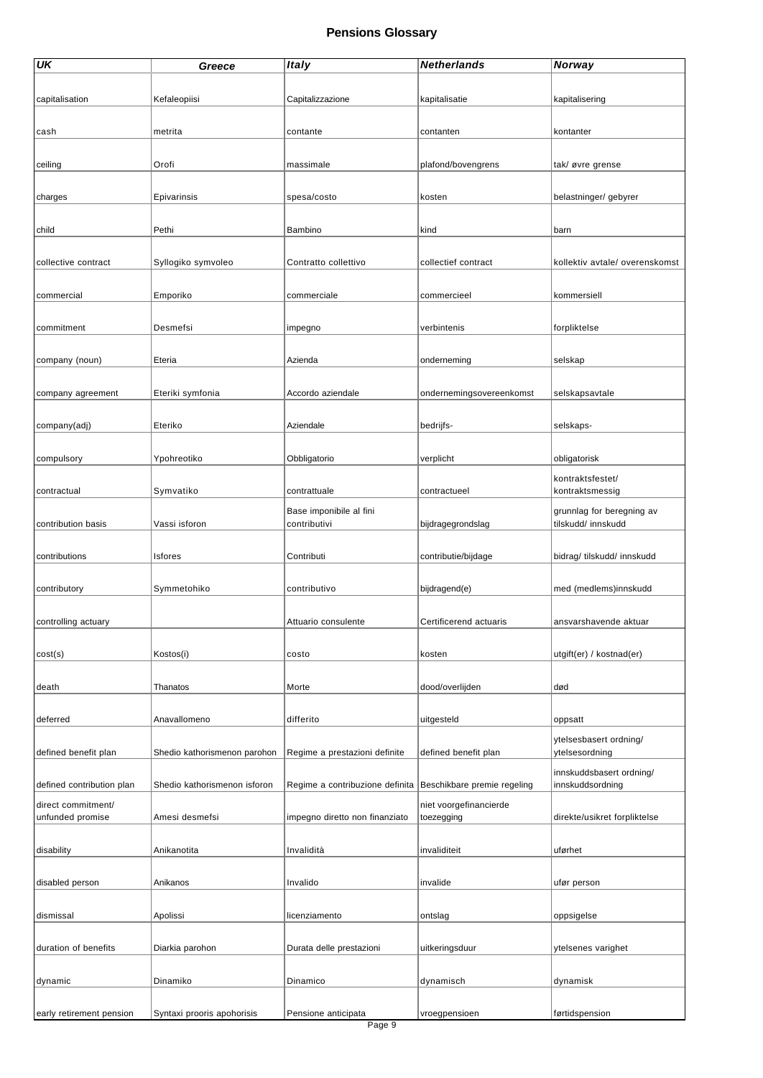| UK                                     | Greece                       | <b>Italy</b>                    | <b>Netherlands</b>                   | Norway                                       |
|----------------------------------------|------------------------------|---------------------------------|--------------------------------------|----------------------------------------------|
|                                        |                              |                                 |                                      |                                              |
| capitalisation                         | Kefaleopiisi                 | Capitalizzazione                | kapitalisatie                        | kapitalisering                               |
|                                        |                              |                                 |                                      |                                              |
| cash                                   | metrita                      | contante                        | contanten                            | kontanter                                    |
|                                        |                              |                                 |                                      |                                              |
| ceiling                                | Orofi                        | massimale                       | plafond/bovengrens                   | tak/ øvre grense                             |
|                                        |                              |                                 |                                      |                                              |
| charges                                | Epivarinsis                  | spesa/costo                     | kosten                               | belastninger/ gebyrer                        |
|                                        |                              |                                 |                                      |                                              |
| child                                  | Pethi                        | Bambino                         | kind                                 | barn                                         |
|                                        |                              |                                 |                                      |                                              |
| collective contract                    | Syllogiko symvoleo           | Contratto collettivo            | collectief contract                  | kollektiv avtale/ overenskomst               |
|                                        |                              |                                 |                                      |                                              |
| commercial                             | Emporiko                     | commerciale                     | commercieel                          | kommersiell                                  |
|                                        |                              |                                 |                                      |                                              |
| commitment                             | Desmefsi                     | impegno                         | verbintenis                          | forpliktelse                                 |
| company (noun)                         | Eteria                       | Azienda                         | onderneming                          | selskap                                      |
|                                        |                              |                                 |                                      |                                              |
| company agreement                      | Eteriki symfonia             | Accordo aziendale               | ondernemingsovereenkomst             | selskapsavtale                               |
|                                        |                              |                                 |                                      |                                              |
| company(adj)                           | Eteriko                      | Aziendale                       | bedrijfs-                            | selskaps-                                    |
|                                        |                              |                                 |                                      |                                              |
| compulsory                             | Ypohreotiko                  | Obbligatorio                    | verplicht                            | obligatorisk                                 |
|                                        |                              |                                 |                                      | kontraktsfestet/                             |
| contractual                            | Symvatiko                    | contrattuale                    | contractueel                         | kontraktsmessig                              |
|                                        |                              | Base imponibile al fini         |                                      | grunnlag for beregning av                    |
| contribution basis                     | Vassi isforon                | contributivi                    | bijdragegrondslag                    | tilskudd/ innskudd                           |
|                                        |                              |                                 |                                      |                                              |
| contributions                          | <b>Isfores</b>               | Contributi                      | contributie/bijdage                  | bidrag/ tilskudd/ innskudd                   |
|                                        |                              |                                 |                                      |                                              |
| contributory                           | Symmetohiko                  | contributivo                    | bijdragend(e)                        | med (medlems)innskudd                        |
|                                        |                              |                                 |                                      |                                              |
| controlling actuary                    |                              | Attuario consulente             | Certificerend actuaris               | ansvarshavende aktuar                        |
|                                        |                              |                                 |                                      |                                              |
| cost(s)                                | Kostos(i)                    | costo                           | kosten                               | utgift(er) / kostnad(er)                     |
|                                        |                              |                                 |                                      |                                              |
| death                                  | Thanatos                     | Morte                           | dood/overlijden                      | død                                          |
|                                        |                              |                                 |                                      |                                              |
| deferred                               | Anavallomeno                 | differito                       | uitgesteld                           | oppsatt                                      |
| defined benefit plan                   | Shedio kathorismenon parohon | Regime a prestazioni definite   | defined benefit plan                 | ytelsesbasert ordning/<br>ytelsesordning     |
|                                        |                              |                                 |                                      |                                              |
| defined contribution plan              | Shedio kathorismenon isforon | Regime a contribuzione definita | Beschikbare premie regeling          | innskuddsbasert ordning/<br>innskuddsordning |
|                                        |                              |                                 |                                      |                                              |
| direct commitment/<br>unfunded promise | Amesi desmefsi               | impegno diretto non finanziato  | niet voorgefinancierde<br>toezegging | direkte/usikret forpliktelse                 |
|                                        |                              |                                 |                                      |                                              |
| disability                             | Anikanotita                  | Invalidità                      | invaliditeit                         | uførhet                                      |
|                                        |                              |                                 |                                      |                                              |
| disabled person                        | Anikanos                     | Invalido                        | invalide                             | ufør person                                  |
|                                        |                              |                                 |                                      |                                              |
| dismissal                              | Apolissi                     | licenziamento                   | ontslag                              | oppsigelse                                   |
|                                        |                              |                                 |                                      |                                              |
| duration of benefits                   | Diarkia parohon              | Durata delle prestazioni        | uitkeringsduur                       | ytelsenes varighet                           |
|                                        |                              |                                 |                                      |                                              |
| dynamic                                | Dinamiko                     | Dinamico                        | dynamisch                            | dynamisk                                     |
|                                        |                              |                                 |                                      |                                              |
| early retirement pension               | Syntaxi prooris apohorisis   | Pensione anticipata             | vroegpensioen                        | førtidspension                               |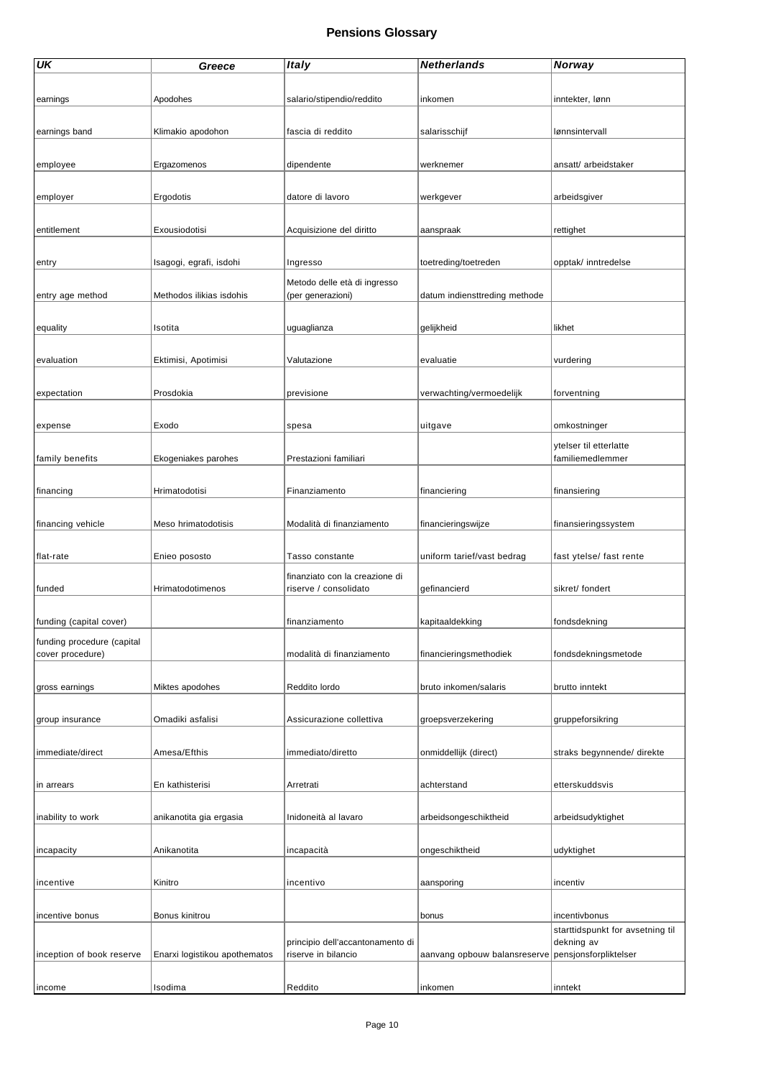| <b>UK</b>                  | Greece                        | <b>Italy</b>                                            | <b>Netherlands</b>            | Norway                              |
|----------------------------|-------------------------------|---------------------------------------------------------|-------------------------------|-------------------------------------|
|                            |                               |                                                         |                               |                                     |
| earnings                   | Apodohes                      | salario/stipendio/reddito                               | inkomen                       | inntekter, lønn                     |
|                            |                               |                                                         |                               |                                     |
| earnings band              | Klimakio apodohon             | fascia di reddito                                       | salarisschijf                 | lønnsintervall                      |
|                            |                               |                                                         |                               |                                     |
| employee                   | Ergazomenos                   | dipendente                                              | werknemer                     | ansatt/arbeidstaker                 |
|                            |                               |                                                         |                               |                                     |
| employer                   | Ergodotis                     | datore di lavoro                                        | werkgever                     | arbeidsgiver                        |
|                            |                               |                                                         |                               |                                     |
| entitlement                | Exousiodotisi                 | Acquisizione del diritto                                | aanspraak                     | rettighet                           |
|                            | Isagogi, egrafi, isdohi       |                                                         | toetreding/toetreden          | opptak/ inntredelse                 |
| entry                      |                               | Ingresso                                                |                               |                                     |
| entry age method           | Methodos ilikias isdohis      | Metodo delle età di ingresso<br>(per generazioni)       | datum indiensttreding methode |                                     |
|                            |                               |                                                         |                               |                                     |
| equality                   | Isotita                       | uguaglianza                                             | gelijkheid                    | likhet                              |
|                            |                               |                                                         |                               |                                     |
| evaluation                 | Ektimisi, Apotimisi           | Valutazione                                             | evaluatie                     | vurdering                           |
|                            |                               |                                                         |                               |                                     |
| expectation                | Prosdokia                     | previsione                                              | verwachting/vermoedelijk      | forventning                         |
|                            |                               |                                                         |                               |                                     |
| expense                    | Exodo                         | spesa                                                   | uitgave                       | omkostninger                        |
|                            |                               |                                                         |                               | ytelser til etterlatte              |
| family benefits            | Ekogeniakes parohes           | Prestazioni familiari                                   |                               | familiemedlemmer                    |
|                            |                               |                                                         |                               |                                     |
| financing                  | Hrimatodotisi                 | Finanziamento                                           | financiering                  | finansiering                        |
|                            |                               |                                                         |                               |                                     |
| financing vehicle          | Meso hrimatodotisis           | Modalità di finanziamento                               | financieringswijze            | finansieringssystem                 |
| flat-rate                  | Enieo pososto                 | Tasso constante                                         | uniform tarief/vast bedrag    | fast ytelse/ fast rente             |
|                            |                               |                                                         |                               |                                     |
| funded                     | Hrimatodotimenos              | finanziato con la creazione di<br>riserve / consolidato | gefinancierd                  | sikret/ fondert                     |
|                            |                               |                                                         |                               |                                     |
| funding (capital cover)    |                               | finanziamento                                           | kapitaaldekking               | fondsdekning                        |
| funding procedure (capital |                               |                                                         |                               |                                     |
| cover procedure)           |                               | modalità di finanziamento                               | financieringsmethodiek        | fondsdekningsmetode                 |
|                            |                               |                                                         |                               |                                     |
| gross earnings             | Miktes apodohes               | Reddito lordo                                           | bruto inkomen/salaris         | brutto inntekt                      |
|                            |                               |                                                         |                               |                                     |
| group insurance            | Omadiki asfalisi              | Assicurazione collettiva                                | groepsverzekering             | gruppeforsikring                    |
|                            |                               |                                                         |                               |                                     |
| immediate/direct           | Amesa/Efthis                  | immediato/diretto                                       | onmiddellijk (direct)         | straks begynnende/ direkte          |
|                            |                               |                                                         | achterstand                   | etterskuddsvis                      |
| in arrears                 | En kathisterisi               | Arretrati                                               |                               |                                     |
| inability to work          | anikanotita gia ergasia       | Inidoneità al lavaro                                    | arbeidsongeschiktheid         | arbeidsudyktighet                   |
|                            |                               |                                                         |                               |                                     |
| incapacity                 | Anikanotita                   | incapacità                                              | ongeschiktheid                | udyktighet                          |
|                            |                               |                                                         |                               |                                     |
| incentive                  | Kinitro                       | incentivo                                               | aansporing                    | incentiv                            |
|                            |                               |                                                         |                               |                                     |
| incentive bonus            | Bonus kinitrou                |                                                         | bonus                         | incentivbonus                       |
|                            |                               |                                                         |                               | starttidspunkt for avsetning til    |
| inception of book reserve  | Enarxi logistikou apothematos | principio dell'accantonamento di<br>riserve in bilancio | aanvang opbouw balansreserve  | dekning av<br>pensjonsforpliktelser |
|                            |                               |                                                         |                               |                                     |
| income                     | Isodima                       | Reddito                                                 | inkomen                       | inntekt                             |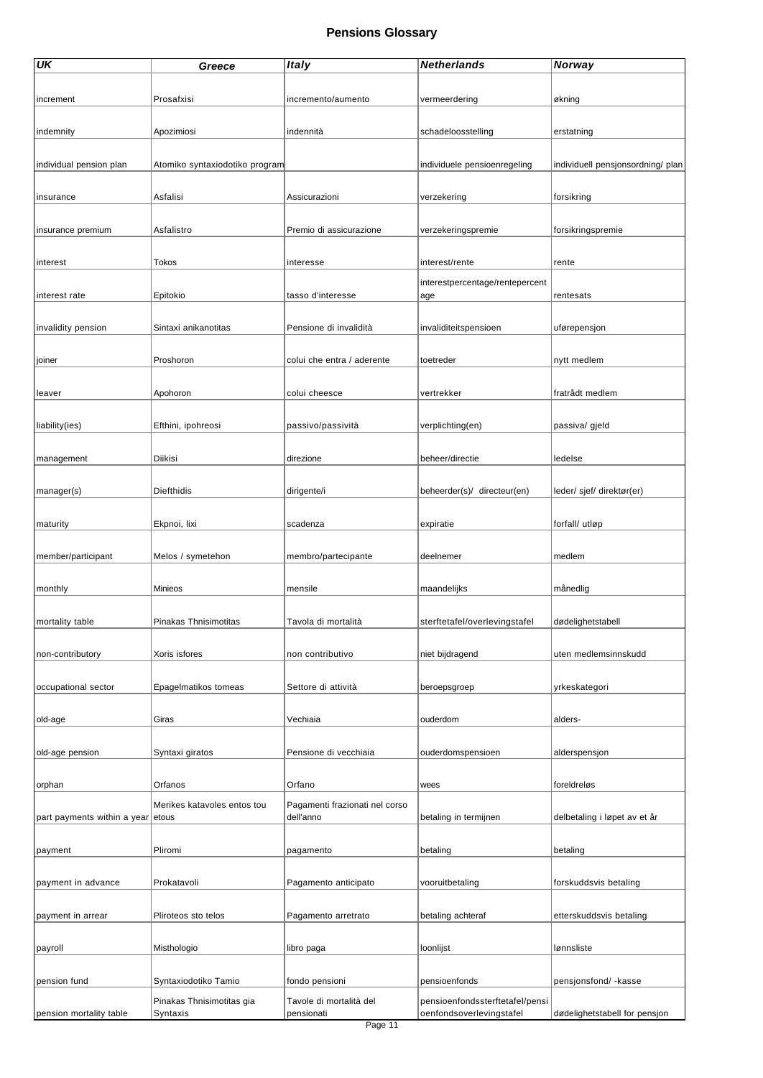| UK                                | Greece                                | <b>Italy</b>                          | <b>Netherlands</b>                                          | Norway                            |
|-----------------------------------|---------------------------------------|---------------------------------------|-------------------------------------------------------------|-----------------------------------|
|                                   |                                       |                                       |                                                             |                                   |
| increment                         | Prosafxisi                            | incremento/aumento                    | vermeerdering                                               | økning                            |
|                                   |                                       |                                       |                                                             |                                   |
| indemnity                         | Apozimiosi                            | indennità                             | schadeloosstelling                                          | erstatning                        |
|                                   |                                       |                                       |                                                             |                                   |
| individual pension plan           | Atomiko syntaxiodotiko program        |                                       | individuele pensioenregeling                                | individuell pensjonsordning/ plan |
|                                   |                                       |                                       |                                                             |                                   |
| insurance                         | Asfalisi                              | Assicurazioni                         | verzekering                                                 | forsikring                        |
|                                   |                                       |                                       |                                                             |                                   |
| insurance premium                 | Asfalistro                            | Premio di assicurazione               |                                                             | forsikringspremie                 |
|                                   |                                       |                                       | verzekeringspremie                                          |                                   |
|                                   |                                       |                                       |                                                             |                                   |
| interest                          | Tokos                                 | interesse                             | interest/rente                                              | rente                             |
|                                   |                                       |                                       | interestpercentage/rentepercent                             |                                   |
| interest rate                     | Epitokio                              | tasso d'interesse                     | age                                                         | rentesats                         |
|                                   |                                       |                                       |                                                             |                                   |
| invalidity pension                | Sintaxi anikanotitas                  | Pensione di invalidità                | invaliditeitspensioen                                       | uførepensjon                      |
|                                   |                                       |                                       |                                                             |                                   |
| joiner                            | Proshoron                             | colui che entra / aderente            | toetreder                                                   | nytt medlem                       |
|                                   |                                       |                                       |                                                             |                                   |
| leaver                            | Apohoron                              | colui cheesce                         | vertrekker                                                  | fratrådt medlem                   |
|                                   |                                       |                                       |                                                             |                                   |
| liability(ies)                    | Efthini, ipohreosi                    | passivo/passività                     | verplichting(en)                                            | passiva/ gjeld                    |
|                                   |                                       |                                       |                                                             |                                   |
| management                        | Diikisi                               | direzione                             | beheer/directie                                             | ledelse                           |
|                                   |                                       |                                       |                                                             |                                   |
| manager(s)                        | Diefthidis                            | dirigente/i                           | beheerder(s)/ directeur(en)                                 | leder/ sjef/ direktør(er)         |
|                                   |                                       |                                       |                                                             |                                   |
| maturity                          | Ekpnoi, lixi                          | scadenza                              | expiratie                                                   | forfall/ utløp                    |
|                                   |                                       |                                       |                                                             |                                   |
| member/participant                | Melos / symetehon                     | membro/partecipante                   | deelnemer                                                   | medlem                            |
|                                   |                                       |                                       |                                                             |                                   |
| monthly                           | Minieos                               | mensile                               | maandelijks                                                 | månedlig                          |
|                                   |                                       |                                       |                                                             |                                   |
| mortality table                   | Pinakas Thnisimotitas                 | Tavola di mortalità                   | sterftetafel/overlevingstafel                               | dødelighetstabell                 |
|                                   |                                       |                                       |                                                             |                                   |
| non-contributory                  | Xoris isfores                         | non contributivo                      | niet bijdragend                                             | uten medlemsinnskudd              |
|                                   |                                       |                                       |                                                             |                                   |
| occupational sector               | Epagelmatikos tomeas                  | Settore di attività                   | beroepsgroep                                                | yrkeskategori                     |
|                                   |                                       |                                       |                                                             |                                   |
| old-age                           | Giras                                 | Vechiaia                              | ouderdom                                                    | alders-                           |
|                                   |                                       |                                       |                                                             |                                   |
| old-age pension                   | Syntaxi giratos                       | Pensione di vecchiaia                 | ouderdomspensioen                                           | alderspensjon                     |
|                                   |                                       |                                       |                                                             |                                   |
| orphan                            | Orfanos                               | Orfano                                | wees                                                        | foreIdreløs                       |
|                                   | Merikes katavoles entos tou           | Pagamenti frazionati nel corso        |                                                             |                                   |
| part payments within a year etous |                                       | dell'anno                             | betaling in termijnen                                       | delbetaling i løpet av et år      |
|                                   |                                       |                                       |                                                             |                                   |
| payment                           | Pliromi                               | pagamento                             | betaling                                                    | betaling                          |
|                                   |                                       |                                       |                                                             |                                   |
| payment in advance                | Prokatavoli                           | Pagamento anticipato                  | vooruitbetaling                                             | forskuddsvis betaling             |
|                                   |                                       |                                       |                                                             |                                   |
| payment in arrear                 | Pliroteos sto telos                   | Pagamento arretrato                   | betaling achteraf                                           | etterskuddsvis betaling           |
|                                   |                                       |                                       |                                                             |                                   |
|                                   |                                       |                                       |                                                             | lønnsliste                        |
| payroll                           | Misthologio                           | libro paga                            | loonlijst                                                   |                                   |
|                                   |                                       |                                       |                                                             |                                   |
| pension fund                      | Syntaxiodotiko Tamio                  | fondo pensioni                        | pensioenfonds                                               | pensjonsfond/ -kasse              |
| pension mortality table           | Pinakas Thnisimotitas gia<br>Syntaxis | Tavole di mortalità del<br>pensionati | pensioenfondssterftetafel/pensi<br>oenfondsoverlevingstafel | dødelighetstabell for pensjon     |
|                                   |                                       |                                       |                                                             |                                   |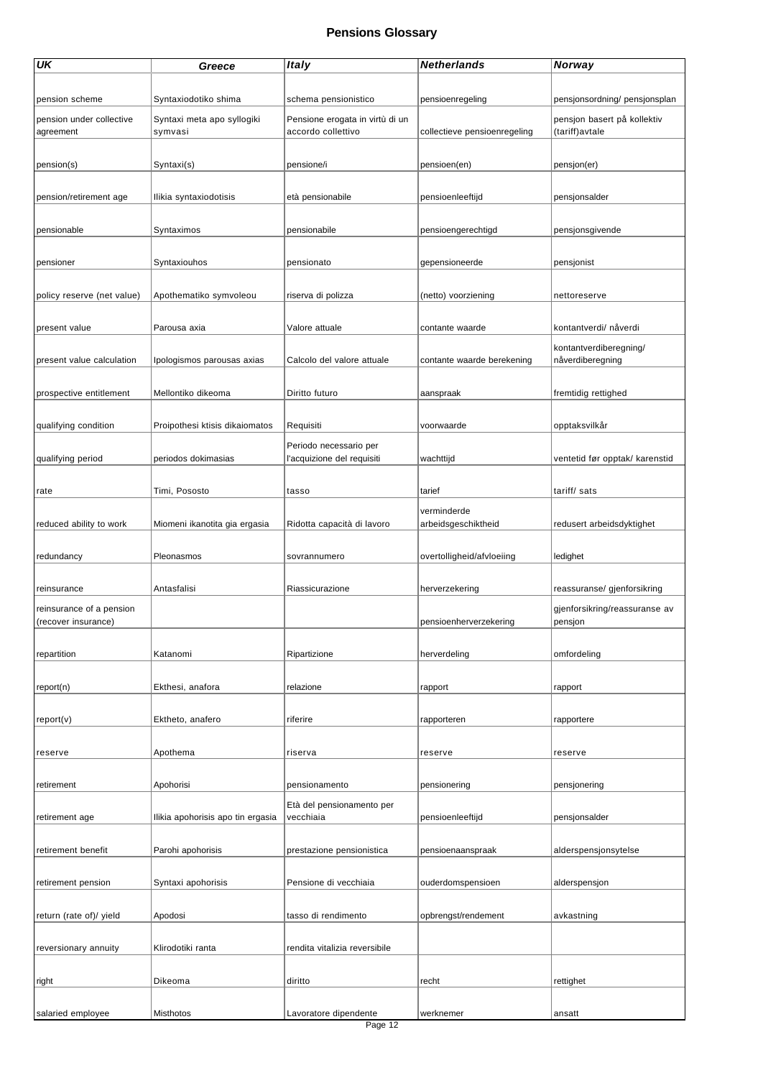| UK                         | Greece                            | <b>Italy</b>                                         | <b>Netherlands</b>           | <b>Norway</b>                  |
|----------------------------|-----------------------------------|------------------------------------------------------|------------------------------|--------------------------------|
|                            |                                   |                                                      |                              |                                |
|                            |                                   |                                                      |                              |                                |
| pension scheme             | Syntaxiodotiko shima              | schema pensionistico                                 | pensioenregeling             | pensjonsordning/ pensjonsplan  |
| pension under collective   | Syntaxi meta apo syllogiki        | Pensione erogata in virtù di un                      |                              | pensjon basert på kollektiv    |
| agreement                  | symvasi                           | accordo collettivo                                   | collectieve pensioenregeling | (tariff)avtale                 |
|                            |                                   |                                                      |                              |                                |
| pension(s)                 | Syntaxi(s)                        | pensione/i                                           | pensioen(en)                 | pensjon(er)                    |
|                            |                                   |                                                      |                              |                                |
| pension/retirement age     | Ilikia syntaxiodotisis            | età pensionabile                                     | pensioenleeftijd             | pensjonsalder                  |
|                            |                                   |                                                      |                              |                                |
| pensionable                | Syntaximos                        | pensionabile                                         | pensioengerechtigd           | pensjonsgivende                |
|                            |                                   |                                                      |                              |                                |
| pensioner                  | Syntaxiouhos                      | pensionato                                           | gepensioneerde               | pensjonist                     |
|                            |                                   |                                                      |                              |                                |
|                            |                                   |                                                      |                              |                                |
| policy reserve (net value) | Apothematiko symvoleou            | riserva di polizza                                   | (netto) voorziening          | nettoreserve                   |
|                            |                                   |                                                      |                              |                                |
| present value              | Parousa axia                      | Valore attuale                                       | contante waarde              | kontantverdi/ nåverdi          |
|                            |                                   |                                                      |                              | kontantverdiberegning/         |
| present value calculation  | Ipologismos parousas axias        | Calcolo del valore attuale                           | contante waarde berekening   | nåverdiberegning               |
|                            |                                   |                                                      |                              |                                |
| prospective entitlement    | Mellontiko dikeoma                | Diritto futuro                                       | aanspraak                    | fremtidig rettighed            |
|                            |                                   |                                                      |                              |                                |
| qualifying condition       | Proipothesi ktisis dikaiomatos    | Requisiti                                            | voorwaarde                   | opptaksvilkår                  |
|                            |                                   |                                                      |                              |                                |
| qualifying period          | periodos dokimasias               | Periodo necessario per<br>l'acquizione del requisiti | wachttijd                    | ventetid før opptak/ karenstid |
|                            |                                   |                                                      |                              |                                |
|                            |                                   |                                                      |                              |                                |
| rate                       | Timi, Pososto                     | tasso                                                | tarief                       | tariff/sats                    |
|                            |                                   |                                                      | verminderde                  |                                |
| reduced ability to work    | Miomeni ikanotita gia ergasia     | Ridotta capacità di lavoro                           | arbeidsgeschiktheid          | redusert arbeidsdyktighet      |
|                            |                                   |                                                      |                              |                                |
| redundancy                 | Pleonasmos                        | sovrannumero                                         | overtolligheid/afvloeiing    | ledighet                       |
|                            |                                   |                                                      |                              |                                |
| reinsurance                | Antasfalisi                       | Riassicurazione                                      | herverzekering               | reassuranse/ gjenforsikring    |
| reinsurance of a pension   |                                   |                                                      |                              | gjenforsikring/reassuranse av  |
| (recover insurance)        |                                   |                                                      | pensioenherverzekering       | pensjon                        |
|                            |                                   |                                                      |                              |                                |
| repartition                | Katanomi                          | Ripartizione                                         | herverdeling                 | omfordeling                    |
|                            |                                   |                                                      |                              |                                |
| report(n)                  | Ekthesi, anafora                  | relazione                                            | rapport                      | rapport                        |
|                            |                                   |                                                      |                              |                                |
|                            |                                   |                                                      |                              |                                |
| report(v)                  | Ektheto, anafero                  | riferire                                             | rapporteren                  | rapportere                     |
|                            |                                   |                                                      |                              |                                |
| reserve                    | Apothema                          | riserva                                              | reserve                      | reserve                        |
|                            |                                   |                                                      |                              |                                |
| retirement                 | Apohorisi                         | pensionamento                                        | pensionering                 | pensjonering                   |
|                            |                                   | Età del pensionamento per                            |                              |                                |
| retirement age             | Ilikia apohorisis apo tin ergasia | vecchiaia                                            | pensioenleeftijd             | pensjonsalder                  |
|                            |                                   |                                                      |                              |                                |
| retirement benefit         | Parohi apohorisis                 | prestazione pensionistica                            | pensioenaanspraak            | alderspensjonsytelse           |
|                            |                                   |                                                      |                              |                                |
| retirement pension         | Syntaxi apohorisis                | Pensione di vecchiaia                                | ouderdomspensioen            | alderspensjon                  |
|                            |                                   |                                                      |                              |                                |
|                            |                                   |                                                      |                              |                                |
| return (rate of)/ yield    | Apodosi                           | tasso di rendimento                                  | opbrengst/rendement          | avkastning                     |
|                            |                                   |                                                      |                              |                                |
| reversionary annuity       | Klirodotiki ranta                 | rendita vitalizia reversibile                        |                              |                                |
|                            |                                   |                                                      |                              |                                |
| right                      | Dikeoma                           | diritto                                              | recht                        | rettighet                      |
|                            |                                   |                                                      |                              |                                |
| salaried employee          | <b>Misthotos</b>                  | Lavoratore dipendente                                | werknemer                    | ansatt                         |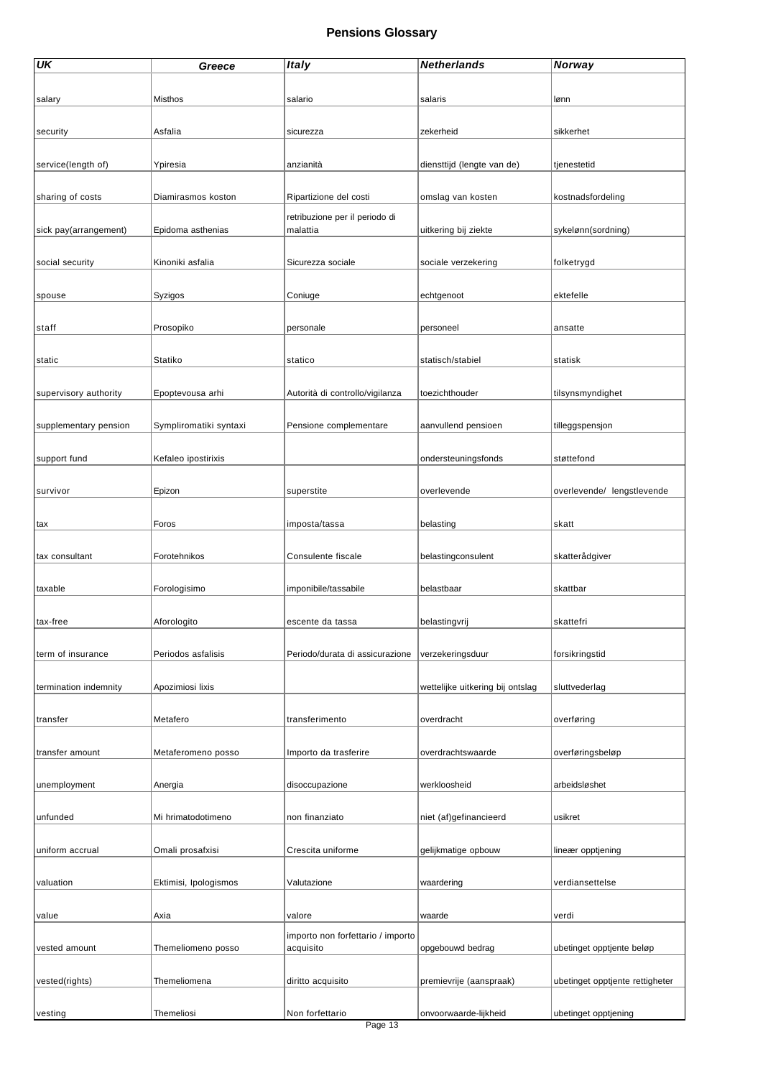| <b>UK</b>             | Greece                 | <b>Italy</b>                               | <b>Netherlands</b>               | Norway                          |
|-----------------------|------------------------|--------------------------------------------|----------------------------------|---------------------------------|
|                       |                        |                                            |                                  |                                 |
| salary                | <b>Misthos</b>         | salario                                    | salaris                          | lønn                            |
|                       |                        |                                            |                                  |                                 |
| security              | Asfalia                | sicurezza                                  | zekerheid                        | sikkerhet                       |
|                       |                        |                                            |                                  |                                 |
| service(length of)    | Ypiresia               | anzianità                                  | diensttijd (lengte van de)       | tjenestetid                     |
|                       |                        |                                            |                                  |                                 |
| sharing of costs      | Diamirasmos koston     | Ripartizione del costi                     | omslag van kosten                | kostnadsfordeling               |
|                       |                        |                                            |                                  |                                 |
| sick pay(arrangement) | Epidoma asthenias      | retribuzione per il periodo di<br>malattia | uitkering bij ziekte             | sykelønn(sordning)              |
|                       |                        |                                            |                                  |                                 |
| social security       | Kinoniki asfalia       | Sicurezza sociale                          | sociale verzekering              | folketrygd                      |
|                       |                        |                                            |                                  |                                 |
| spouse                | Syzigos                | Coniuge                                    | echtgenoot                       | ektefelle                       |
|                       |                        |                                            |                                  |                                 |
| staff                 | Prosopiko              | personale                                  | personeel                        | ansatte                         |
|                       |                        |                                            |                                  |                                 |
| static                | Statiko                | statico                                    | statisch/stabiel                 | statisk                         |
|                       |                        |                                            |                                  |                                 |
| supervisory authority | Epoptevousa arhi       | Autorità di controllo/vigilanza            | toezichthouder                   | tilsynsmyndighet                |
|                       |                        |                                            |                                  |                                 |
| supplementary pension | Sympliromatiki syntaxi | Pensione complementare                     | aanvullend pensioen              | tilleggspensjon                 |
|                       |                        |                                            |                                  |                                 |
| support fund          | Kefaleo ipostirixis    |                                            | ondersteuningsfonds              | støttefond                      |
|                       |                        |                                            |                                  |                                 |
| survivor              | Epizon                 | superstite                                 | overlevende                      | overlevende/ lengstlevende      |
|                       |                        |                                            |                                  |                                 |
| tax                   | Foros                  | imposta/tassa                              | belasting                        | skatt                           |
|                       |                        |                                            |                                  |                                 |
| tax consultant        | Forotehnikos           | Consulente fiscale                         | belastingconsulent               | skatterådgiver                  |
|                       |                        |                                            |                                  |                                 |
| taxable               | Forologisimo           | imponibile/tassabile                       | belastbaar                       | skattbar                        |
|                       |                        |                                            |                                  |                                 |
| tax-free              | Aforologito            | escente da tassa                           | belastingvrij                    | skattefri                       |
|                       |                        |                                            |                                  |                                 |
| term of insurance     | Periodos asfalisis     | Periodo/durata di assicurazione            | verzekeringsduur                 | forsikringstid                  |
|                       |                        |                                            |                                  |                                 |
| termination indemnity | Apozimiosi lixis       |                                            | wettelijke uitkering bij ontslag | sluttvederlag                   |
|                       |                        |                                            |                                  |                                 |
| transfer              | Metafero               | transferimento                             | overdracht                       | overføring                      |
|                       |                        |                                            |                                  |                                 |
| transfer amount       | Metaferomeno posso     | Importo da trasferire                      | overdrachtswaarde                | overføringsbeløp                |
|                       |                        |                                            |                                  |                                 |
| unemployment          | Anergia                | disoccupazione                             | werkloosheid                     | arbeidsløshet                   |
|                       |                        |                                            |                                  |                                 |
| unfunded              | Mi hrimatodotimeno     | non finanziato                             | niet (af)gefinancieerd           | usikret                         |
|                       |                        |                                            |                                  |                                 |
| uniform accrual       | Omali prosafxisi       | Crescita uniforme                          | gelijkmatige opbouw              | lineær opptjening               |
|                       |                        |                                            |                                  |                                 |
| valuation             | Ektimisi, Ipologismos  | Valutazione                                | waardering                       | verdiansettelse                 |
|                       |                        |                                            |                                  |                                 |
| value                 | Axia                   | valore                                     | waarde                           | verdi                           |
|                       |                        | importo non forfettario / importo          |                                  |                                 |
| vested amount         | Themeliomeno posso     | acquisito                                  | opgebouwd bedrag                 | ubetinget opptjente beløp       |
|                       |                        |                                            |                                  |                                 |
| vested(rights)        | Themeliomena           | diritto acquisito                          | premievrije (aanspraak)          | ubetinget opptjente rettigheter |
|                       |                        |                                            |                                  |                                 |
| vesting               | Themeliosi             | Non forfettario                            | onvoorwaarde-lijkheid            | ubetinget opptjening            |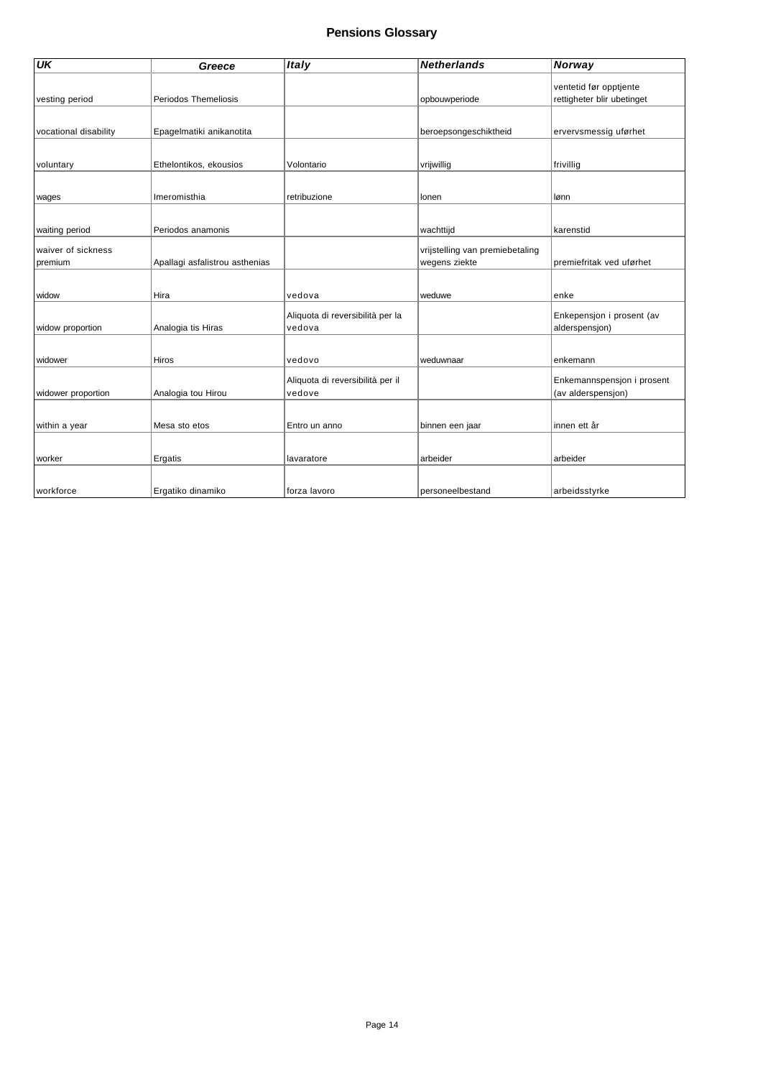| $\overline{\mathsf{U}\mathsf{K}}$ | Greece                         | <b>Italy</b>                     | <b>Netherlands</b>              | Norway                     |
|-----------------------------------|--------------------------------|----------------------------------|---------------------------------|----------------------------|
|                                   |                                |                                  |                                 | ventetid før opptjente     |
| vesting period                    | Periodos Themeliosis           |                                  | opbouwperiode                   | rettigheter blir ubetinget |
|                                   |                                |                                  |                                 |                            |
| vocational disability             | Epagelmatiki anikanotita       |                                  | beroepsongeschiktheid           | ervervsmessig uførhet      |
|                                   |                                |                                  |                                 |                            |
| voluntary                         | Ethelontikos, ekousios         | Volontario                       | vrijwillig                      | frivillig                  |
|                                   |                                |                                  |                                 |                            |
| wages                             | Imeromisthia                   | retribuzione                     | lonen                           | lønn                       |
|                                   |                                |                                  |                                 |                            |
| waiting period                    | Periodos anamonis              |                                  | wachttijd                       | karenstid                  |
| waiver of sickness                |                                |                                  | vrijstelling van premiebetaling |                            |
| premium                           | Apallagi asfalistrou asthenias |                                  | wegens ziekte                   | premiefritak ved uførhet   |
|                                   |                                |                                  |                                 |                            |
| widow                             | Hira                           | vedova                           | weduwe                          | enke                       |
|                                   |                                | Aliquota di reversibilità per la |                                 | Enkepensjon i prosent (av  |
| widow proportion                  | Analogia tis Hiras             | vedova                           |                                 | alderspensjon)             |
|                                   |                                |                                  |                                 |                            |
| widower                           | <b>Hiros</b>                   | vedovo                           | weduwnaar                       | enkemann                   |
|                                   |                                | Aliquota di reversibilità per il |                                 | Enkemannspensjon i prosent |
| widower proportion                | Analogia tou Hirou             | vedove                           |                                 | (av alderspensjon)         |
|                                   |                                |                                  |                                 |                            |
| within a year                     | Mesa sto etos                  | Entro un anno                    | binnen een jaar                 | innen ett år               |
|                                   |                                |                                  |                                 |                            |
| worker                            | Ergatis                        | lavaratore                       | arbeider                        | arbeider                   |
|                                   |                                |                                  |                                 |                            |
| workforce                         | Ergatiko dinamiko              | forza lavoro                     | personeelbestand                | arbeidsstyrke              |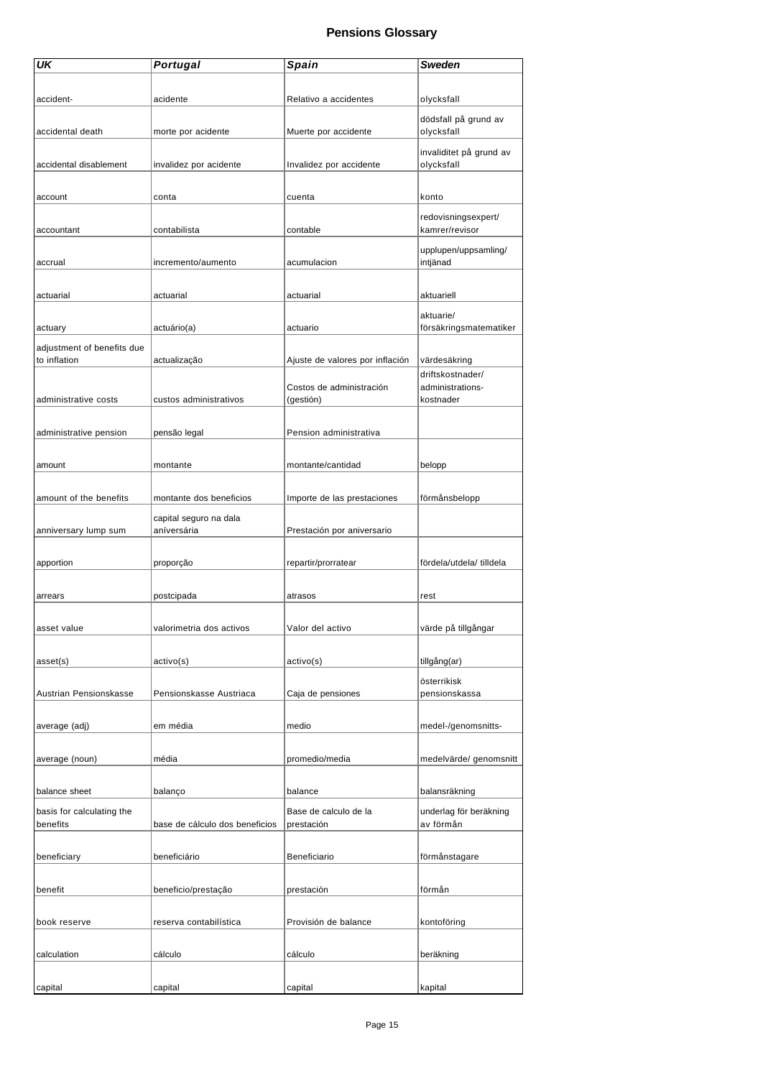| UK                         | <b>Portugal</b>                | Spain                           | Sweden                   |
|----------------------------|--------------------------------|---------------------------------|--------------------------|
|                            |                                |                                 |                          |
| accident-                  | acidente                       |                                 |                          |
|                            |                                | Relativo a accidentes           | olycksfall               |
|                            |                                |                                 | dödsfall på grund av     |
| accidental death           | morte por acidente             | Muerte por accidente            | olycksfall               |
|                            |                                |                                 | invaliditet på grund av  |
| accidental disablement     | invalidez por acidente         | Invalidez por accidente         | olycksfall               |
|                            |                                |                                 |                          |
| account                    | conta                          | cuenta                          | konto                    |
|                            |                                |                                 |                          |
|                            |                                |                                 | redovisningsexpert/      |
| accountant                 | contabilista                   | contable                        | kamrer/revisor           |
|                            |                                |                                 | upplupen/uppsamling/     |
| accrual                    | incremento/aumento             | acumulacion                     | intjänad                 |
|                            |                                |                                 |                          |
| actuarial                  | actuarial                      | actuarial                       | aktuariell               |
|                            |                                |                                 |                          |
|                            |                                |                                 | aktuarie/                |
| actuary                    | actuário(a)                    | actuario                        | försäkringsmatematiker   |
| adjustment of benefits due |                                |                                 |                          |
| to inflation               | actualização                   | Ajuste de valores por inflación | värdesäkring             |
|                            |                                |                                 | driftskostnader/         |
|                            |                                | Costos de administración        | administrations-         |
| administrative costs       | custos administrativos         | (gestión)                       | kostnader                |
|                            |                                |                                 |                          |
| administrative pension     | pensão legal                   | Pension administrativa          |                          |
|                            |                                |                                 |                          |
|                            |                                |                                 |                          |
| amount                     | montante                       | montante/cantidad               | belopp                   |
|                            |                                |                                 |                          |
| amount of the benefits     | montante dos beneficios        | Importe de las prestaciones     | förmånsbelopp            |
|                            | capital seguro na dala         |                                 |                          |
| anniversary lump sum       | aníversária                    | Prestación por aniversario      |                          |
|                            |                                |                                 |                          |
| apportion                  | proporção                      | repartir/prorratear             | fördela/utdela/ tilldela |
|                            |                                |                                 |                          |
|                            |                                |                                 |                          |
| arrears                    | postcipada                     | atrasos                         | rest                     |
|                            |                                |                                 |                          |
| asset value                | valorimetria dos activos       | Valor del activo                | värde på tillgångar      |
|                            |                                |                                 |                          |
| asset(s)                   | activo(s)                      | active(s)                       | tillgång(ar)             |
|                            |                                |                                 |                          |
|                            |                                |                                 | österrikisk              |
| Austrian Pensionskasse     | Pensionskasse Austriaca        | Caja de pensiones               | pensionskassa            |
|                            |                                |                                 |                          |
| average (adj)              | em média                       | medio                           | medel-/genomsnitts-      |
|                            |                                |                                 |                          |
| average (noun)             | média                          | promedio/media                  | medelvärde/ genomsnitt   |
|                            |                                |                                 |                          |
| balance sheet              | balanço                        | balance                         | balansräkning            |
|                            |                                |                                 |                          |
| basis for calculating the  |                                | Base de calculo de la           | underlag för beräkning   |
| benefits                   | base de cálculo dos beneficios | prestación                      | av förmån                |
|                            |                                |                                 |                          |
| beneficiary                | beneficiário                   | Beneficiario                    | förmånstagare            |
|                            |                                |                                 |                          |
| benefit                    | beneficio/prestação            | prestación                      | förmån                   |
|                            |                                |                                 |                          |
|                            |                                |                                 |                          |
| book reserve               | reserva contabilística         | Provisión de balance            | kontoföring              |
|                            |                                |                                 |                          |
| calculation                | cálculo                        | cálculo                         | beräkning                |
|                            |                                |                                 |                          |
| capital                    | capital                        | capital                         | kapital                  |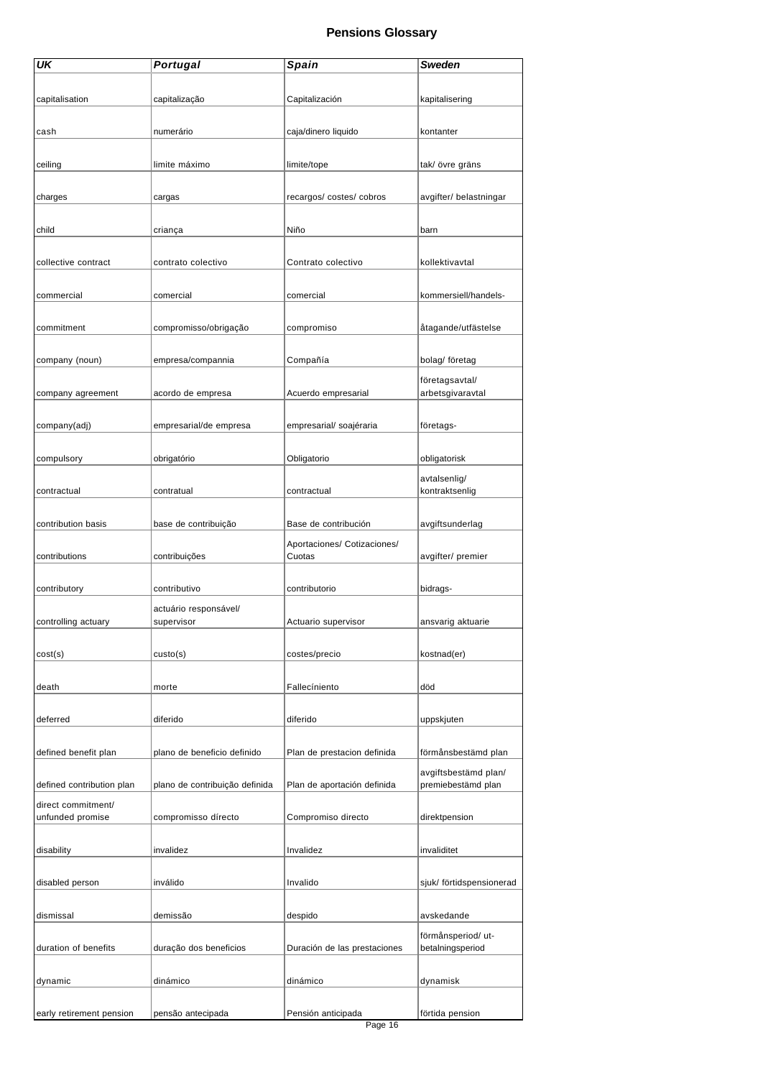| UK                        | Portugal                            | Spain                        | <b>Sweden</b>            |
|---------------------------|-------------------------------------|------------------------------|--------------------------|
|                           |                                     |                              |                          |
| capitalisation            | capitalização                       | Capitalización               | kapitalisering           |
|                           |                                     |                              |                          |
| cash                      | numerário                           | caja/dinero liquido          | kontanter                |
|                           |                                     |                              |                          |
| ceiling                   | limite máximo                       | limite/tope                  | tak/ övre gräns          |
|                           |                                     |                              |                          |
| charges                   | cargas                              | recargos/costes/cobros       | avgifter/ belastningar   |
| child                     | criança                             | Niño                         | barn                     |
|                           |                                     |                              |                          |
| collective contract       | contrato colectivo                  | Contrato colectivo           | kollektivavtal           |
|                           |                                     |                              |                          |
| commercial                | comercial                           | comercial                    | kommersiell/handels-     |
|                           |                                     |                              |                          |
| commitment                | compromisso/obrigação               | compromiso                   | åtagande/utfästelse      |
|                           |                                     |                              |                          |
| company (noun)            | empresa/compannia                   | Compañía                     | bolag/ företag           |
|                           |                                     |                              | företagsavtal/           |
| company agreement         | acordo de empresa                   | Acuerdo empresarial          | arbetsgivaravtal         |
| company(adj)              | empresarial/de empresa              | empresarial/ soajéraria      | företags-                |
|                           |                                     |                              |                          |
| compulsory                | obrigatório                         | Obligatorio                  | obligatorisk             |
|                           |                                     |                              | avtalsenlig/             |
| contractual               | contratual                          | contractual                  | kontraktsenlig           |
|                           |                                     |                              |                          |
| contribution basis        | base de contribuição                | Base de contribución         | avgiftsunderlag          |
|                           |                                     | Aportaciones/ Cotizaciones/  |                          |
| contributions             | contribuições                       | Cuotas                       | avgifter/ premier        |
|                           |                                     |                              |                          |
| contributory              | contributivo                        | contributorio                | bidrags-                 |
| controlling actuary       | actuário responsável/<br>supervisor | Actuario supervisor          |                          |
|                           |                                     |                              | ansvarig aktuarie        |
| cost(s)                   | custo(s)                            | costes/precio                | kostnad(er)              |
|                           |                                     |                              |                          |
| death                     | morte                               | Fallecíniento                | död                      |
|                           |                                     |                              |                          |
| deferred                  | diferido                            | diferido                     | uppskjuten               |
|                           |                                     |                              |                          |
| defined benefit plan      | plano de beneficio definido         | Plan de prestacion definida  | förmånsbestämd plan      |
|                           |                                     |                              | avgiftsbestämd plan/     |
| defined contribution plan | plano de contribuição definida      | Plan de aportación definida  | premiebestämd plan       |
| direct commitment/        |                                     |                              |                          |
| unfunded promise          | compromisso dírecto                 | Compromiso directo           | direktpension            |
| disability                | invalidez                           | Invalidez                    | invaliditet              |
|                           |                                     |                              |                          |
| disabled person           | inválido                            | Invalido                     | sjuk/ förtidspensionerad |
|                           |                                     |                              |                          |
| dismissal                 | demissão                            | despido                      | avskedande               |
|                           |                                     |                              | förmånsperiod/ut-        |
| duration of benefits      | duração dos beneficios              | Duración de las prestaciones | betalningsperiod         |
|                           |                                     |                              |                          |
| dynamic                   | dinámico                            | dinámico                     | dynamisk                 |
|                           |                                     |                              |                          |
| early retirement pension  | pensão antecipada                   | Pensión anticipada           | förtida pension          |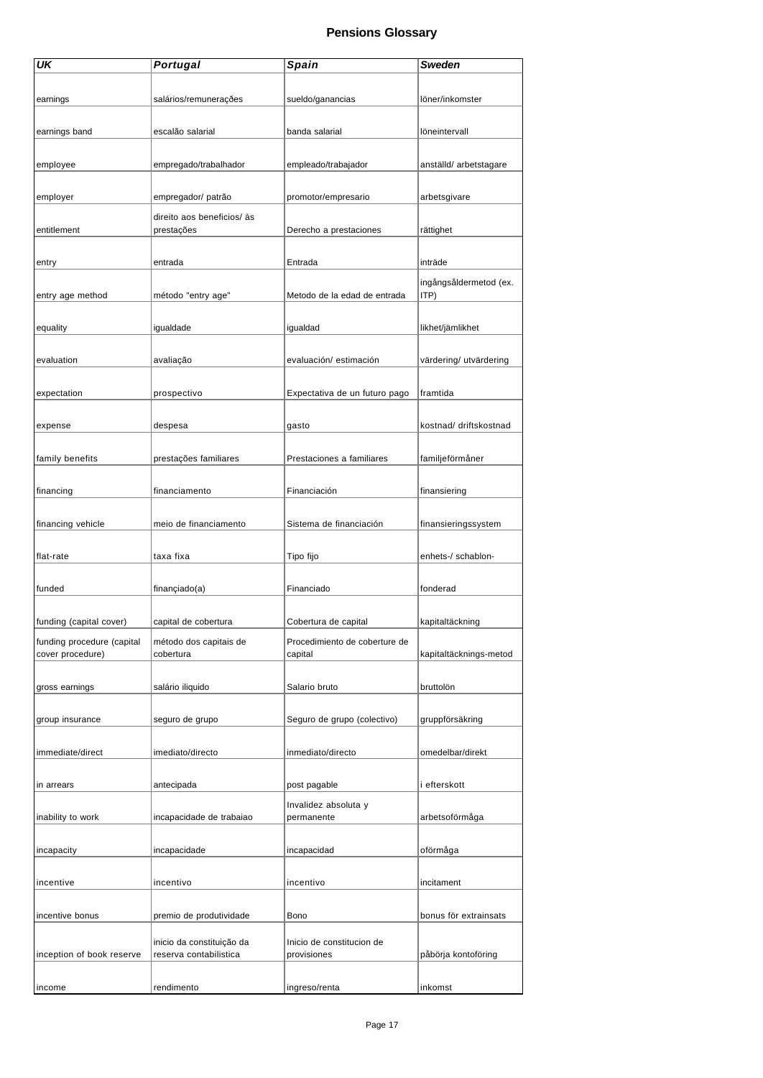| UK                         | <b>Portugal</b>                                     | Spain                         | Sweden                 |
|----------------------------|-----------------------------------------------------|-------------------------------|------------------------|
|                            |                                                     |                               |                        |
|                            |                                                     |                               |                        |
| earnings                   | salários/remunerações                               | sueldo/ganancias              | löner/inkomster        |
|                            |                                                     |                               |                        |
| earnings band              | escalão salarial                                    | banda salarial                | löneintervall          |
|                            |                                                     |                               |                        |
| employee                   | empregado/trabalhador                               | empleado/trabajador           | anställd/ arbetstagare |
|                            |                                                     |                               |                        |
|                            |                                                     |                               |                        |
| employer                   | empregador/ patrão                                  | promotor/empresario           | arbetsgivare           |
|                            | direito aos beneficios/ às                          |                               |                        |
| entitlement                | prestações                                          | Derecho a prestaciones        | rättighet              |
|                            |                                                     |                               |                        |
| entry                      | entrada                                             | Entrada                       | inträde                |
|                            |                                                     |                               |                        |
|                            |                                                     |                               | ingångsåldermetod (ex. |
| entry age method           | método "entry age"                                  | Metodo de la edad de entrada  | ITP)                   |
|                            |                                                     |                               |                        |
| equality                   | igualdade                                           | igualdad                      | likhet/jämlikhet       |
|                            |                                                     |                               |                        |
|                            |                                                     |                               |                        |
| evaluation                 | avaliação                                           | evaluación/estimación         | värdering/ utvärdering |
|                            |                                                     |                               |                        |
| expectation                | prospectivo                                         | Expectativa de un futuro pago | framtida               |
|                            |                                                     |                               |                        |
| expense                    | despesa                                             | gasto                         | kostnad/ driftskostnad |
|                            |                                                     |                               |                        |
|                            |                                                     |                               |                        |
| family benefits            | prestações familiares                               | Prestaciones a familiares     | familjeförmåner        |
|                            |                                                     |                               |                        |
| financing                  | financiamento                                       | Financiación                  | finansiering           |
|                            |                                                     |                               |                        |
| financing vehicle          | meio de financiamento                               | Sistema de financiación       | finansieringssystem    |
|                            |                                                     |                               |                        |
|                            |                                                     |                               |                        |
| flat-rate                  | taxa fixa                                           | Tipo fijo                     | enhets-/ schablon-     |
|                            |                                                     |                               |                        |
| funded                     | finançiado(a)                                       | Financiado                    | fonderad               |
|                            |                                                     |                               |                        |
| funding (capital cover)    | capital de cobertura                                | Cobertura de capital          | kapitaltäckning        |
|                            |                                                     |                               |                        |
| funding procedure (capital | método dos capitais de                              | Procedimiento de coberture de |                        |
| cover procedure)           | cobertura                                           | capital                       | kapitaltäcknings-metod |
|                            |                                                     |                               |                        |
| gross earnings             | salário iliquido                                    | Salario bruto                 | bruttolön              |
|                            |                                                     |                               |                        |
| group insurance            | seguro de grupo                                     | Seguro de grupo (colectivo)   | gruppförsäkring        |
|                            |                                                     |                               |                        |
|                            |                                                     |                               |                        |
| immediate/direct           | imediato/directo                                    | inmediato/directo             | omedelbar/direkt       |
|                            |                                                     |                               |                        |
| in arrears                 | antecipada                                          | post pagable                  | i efterskott           |
|                            |                                                     |                               |                        |
|                            |                                                     | Invalidez absoluta y          |                        |
| inability to work          | incapacidade de trabaiao                            | permanente                    | arbetsoförmåga         |
|                            |                                                     |                               |                        |
| incapacity                 | incapacidade                                        | incapacidad                   | oförmåga               |
|                            |                                                     |                               |                        |
| incentive                  | incentivo                                           | incentivo                     | incitament             |
|                            |                                                     |                               |                        |
|                            |                                                     |                               |                        |
| incentive bonus            | premio de produtividade                             | Bono                          | bonus för extrainsats  |
|                            |                                                     |                               |                        |
|                            | inicio da constituição da<br>reserva contabilistica | Inicio de constitucion de     |                        |
| inception of book reserve  |                                                     | provisiones                   | påbörja kontoföring    |
|                            |                                                     |                               |                        |
| income                     | rendimento                                          | ingreso/renta                 | inkomst                |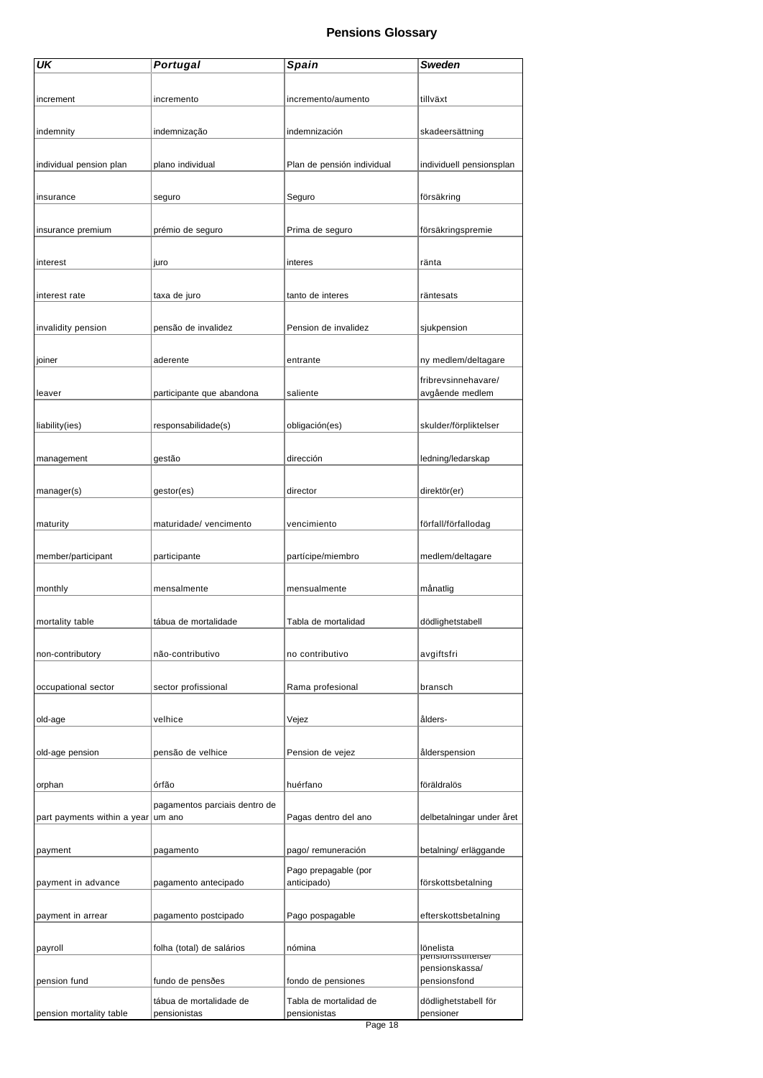| UK                          | <b>Portugal</b>                         | Spain                      | <b>Sweden</b>                   |
|-----------------------------|-----------------------------------------|----------------------------|---------------------------------|
|                             |                                         |                            |                                 |
| increment                   | incremento                              | incremento/aumento         | tillväxt                        |
|                             |                                         |                            |                                 |
| indemnity                   | indemnização                            | indemnización              | skadeersättning                 |
|                             |                                         |                            |                                 |
|                             |                                         |                            |                                 |
| individual pension plan     | plano individual                        | Plan de pensión individual | individuell pensionsplan        |
|                             |                                         |                            |                                 |
| insurance                   | seguro                                  | Seguro                     | försäkring                      |
|                             |                                         |                            |                                 |
| insurance premium           | prémio de seguro                        | Prima de seguro            | försäkringspremie               |
|                             |                                         |                            |                                 |
| interest                    | juro                                    | interes                    | ränta                           |
|                             |                                         |                            |                                 |
| interest rate               | taxa de juro                            | tanto de interes           | räntesats                       |
|                             |                                         |                            |                                 |
| invalidity pension          | pensão de invalidez                     | Pension de invalidez       | sjukpension                     |
|                             |                                         |                            |                                 |
| joiner                      | aderente                                | entrante                   | ny medlem/deltagare             |
|                             |                                         |                            | fribrevsinnehavare/             |
| leaver                      | participante que abandona               | saliente                   | avgående medlem                 |
|                             |                                         |                            |                                 |
| liability(ies)              | responsabilidade(s)                     | obligación(es)             | skulder/förpliktelser           |
|                             |                                         |                            |                                 |
|                             |                                         | dirección                  |                                 |
| management                  | gestão                                  |                            | ledning/ledarskap               |
|                             |                                         |                            |                                 |
| manager(s)                  | gestor(es)                              | director                   | direktör(er)                    |
|                             |                                         |                            |                                 |
| maturity                    | maturidade/ vencimento                  | vencimiento                | förfall/förfallodag             |
|                             |                                         |                            |                                 |
| member/participant          | participante                            | partícipe/miembro          | medlem/deltagare                |
|                             |                                         |                            |                                 |
| monthly                     | mensalmente                             | mensualmente               | månatlig                        |
|                             |                                         |                            |                                 |
| mortality table             | tábua de mortalidade                    | Tabla de mortalidad        | dödlighetstabell                |
|                             |                                         |                            |                                 |
| non-contributory            | não-contributivo                        | no contributivo            | avgiftsfri                      |
|                             |                                         |                            |                                 |
| occupational sector         | sector profissional                     | Rama profesional           | bransch                         |
|                             |                                         |                            |                                 |
| old-age                     | velhice                                 | Vejez                      | ålders-                         |
|                             |                                         |                            |                                 |
| old-age pension             | pensão de velhice                       | Pension de vejez           | ålderspension                   |
|                             |                                         |                            |                                 |
| orphan                      | órfão                                   | huérfano                   | föräldralös                     |
|                             |                                         |                            |                                 |
| part payments within a year | pagamentos parciais dentro de<br>um ano | Pagas dentro del ano       | delbetalningar under året       |
|                             |                                         |                            |                                 |
|                             |                                         |                            |                                 |
| payment                     | pagamento                               | pago/ remuneración         | betalning/ erläggande           |
|                             |                                         | Pago prepagable (por       |                                 |
| payment in advance          | pagamento antecipado                    | anticipado)                | förskottsbetalning              |
|                             |                                         |                            |                                 |
| payment in arrear           | pagamento postcipado                    | Pago pospagable            | efterskottsbetalning            |
|                             |                                         |                            |                                 |
| payroll                     | folha (total) de salários               | nómina                     | lönelista<br>pensionsstifterse/ |
|                             |                                         |                            | pensionskassa/                  |
| pension fund                | fundo de pensðes                        | fondo de pensiones         | pensionsfond                    |
|                             | tábua de mortalidade de                 | Tabla de mortalidad de     | dödlighetstabell för            |
| pension mortality table     | pensionistas                            | pensionistas               | pensioner                       |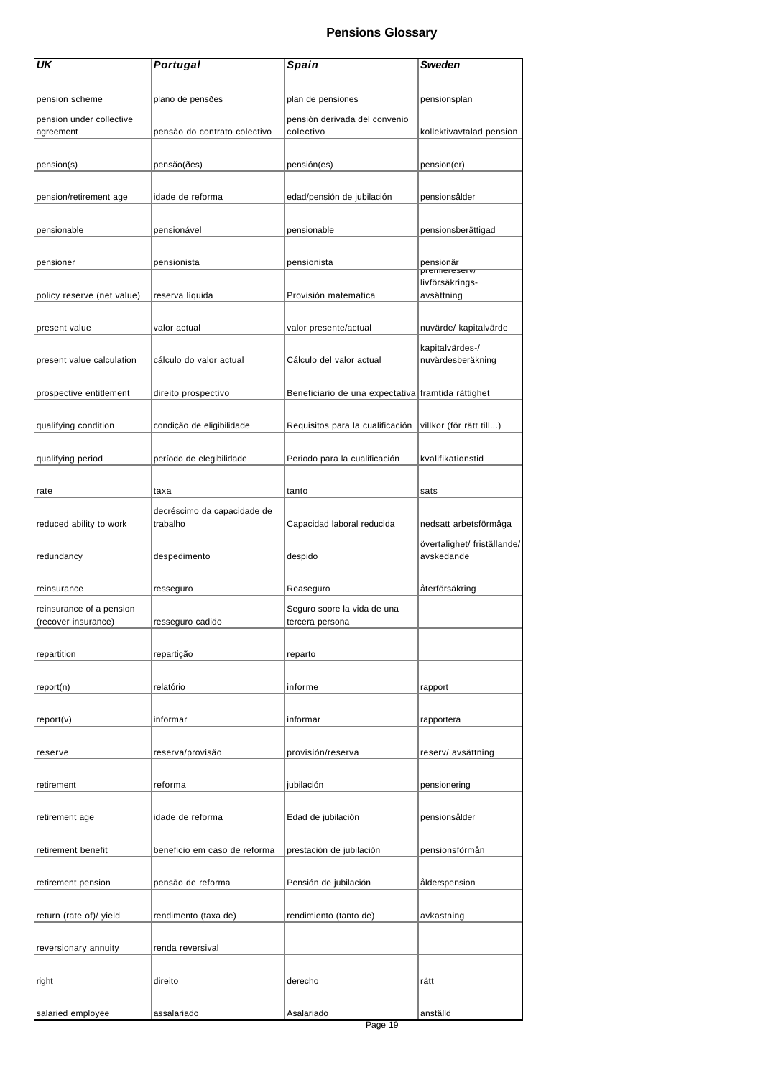| UK                         | <b>Portugal</b>                         | <b>Spain</b>                                       | Sweden                      |
|----------------------------|-----------------------------------------|----------------------------------------------------|-----------------------------|
|                            |                                         |                                                    |                             |
| pension scheme             | plano de pensões                        | plan de pensiones                                  | pensionsplan                |
| pension under collective   |                                         | pensión derivada del convenio                      |                             |
| agreement                  | pensão do contrato colectivo            | colectivo                                          | kollektivavtalad pension    |
|                            |                                         |                                                    |                             |
| pension(s)                 | pensão(ðes)                             | pensión(es)                                        | pension(er)                 |
|                            |                                         |                                                    |                             |
| pension/retirement age     | idade de reforma                        | edad/pensión de jubilación                         | pensionsålder               |
|                            |                                         |                                                    |                             |
| pensionable                | pensionável                             | pensionable                                        | pensionsberättigad          |
|                            |                                         |                                                    |                             |
| pensioner                  | pensionista                             | pensionista                                        | pensionär<br>premiereserv/  |
|                            |                                         |                                                    | livförsäkrings-             |
| policy reserve (net value) | reserva líquida                         | Provisión matematica                               | avsättning                  |
|                            |                                         |                                                    |                             |
| present value              | valor actual                            | valor presente/actual                              | nuvärde/ kapitalvärde       |
|                            |                                         |                                                    | kapitalvärdes-/             |
| present value calculation  | cálculo do valor actual                 | Cálculo del valor actual                           | nuvärdesberäkning           |
|                            |                                         |                                                    |                             |
| prospective entitlement    | direito prospectivo                     | Beneficiario de una expectativa framtida rättighet |                             |
| qualifying condition       | condição de eligibilidade               | Requisitos para la cualificación                   | villkor (för rätt till)     |
|                            |                                         |                                                    |                             |
| qualifying period          | período de elegibilidade                | Periodo para la cualificación                      | kvalifikationstid           |
|                            |                                         |                                                    |                             |
| rate                       | taxa                                    | tanto                                              | sats                        |
|                            |                                         |                                                    |                             |
| reduced ability to work    | decréscimo da capacidade de<br>trabalho | Capacidad laboral reducida                         | nedsatt arbetsförmåga       |
|                            |                                         |                                                    | övertalighet/ friställande/ |
| redundancy                 | despedimento                            | despido                                            | avskedande                  |
|                            |                                         |                                                    |                             |
| reinsurance                | resseguro                               | Reaseguro                                          | återförsäkring              |
| reinsurance of a pension   |                                         | Seguro soore la vida de una                        |                             |
| (recover insurance)        | resseguro cadido                        | tercera persona                                    |                             |
|                            |                                         |                                                    |                             |
| repartition                | repartição                              | reparto                                            |                             |
|                            |                                         |                                                    |                             |
| report(n)                  | relatório                               | informe                                            | rapport                     |
|                            | informar                                | informar                                           |                             |
| report(v)                  |                                         |                                                    | rapportera                  |
| reserve                    | reserva/provisão                        | provisión/reserva                                  | reserv/ avsättning          |
|                            |                                         |                                                    |                             |
| retirement                 | reforma                                 | jubilación                                         | pensionering                |
|                            |                                         |                                                    |                             |
| retirement age             | idade de reforma                        | Edad de jubilación                                 | pensionsålder               |
|                            |                                         |                                                    |                             |
| retirement benefit         | beneficio em caso de reforma            | prestación de jubilación                           | pensionsförmån              |
|                            |                                         |                                                    |                             |
| retirement pension         | pensão de reforma                       | Pensión de jubilación                              | ålderspension               |
|                            |                                         |                                                    |                             |
| return (rate of)/ yield    | rendimento (taxa de)                    | rendimiento (tanto de)                             | avkastning                  |
|                            |                                         |                                                    |                             |
| reversionary annuity       | renda reversival                        |                                                    |                             |
|                            |                                         |                                                    |                             |
| right                      | direito                                 | derecho                                            | rätt                        |
|                            |                                         |                                                    |                             |
| salaried employee          | assalariado                             | Asalariado                                         | anställd                    |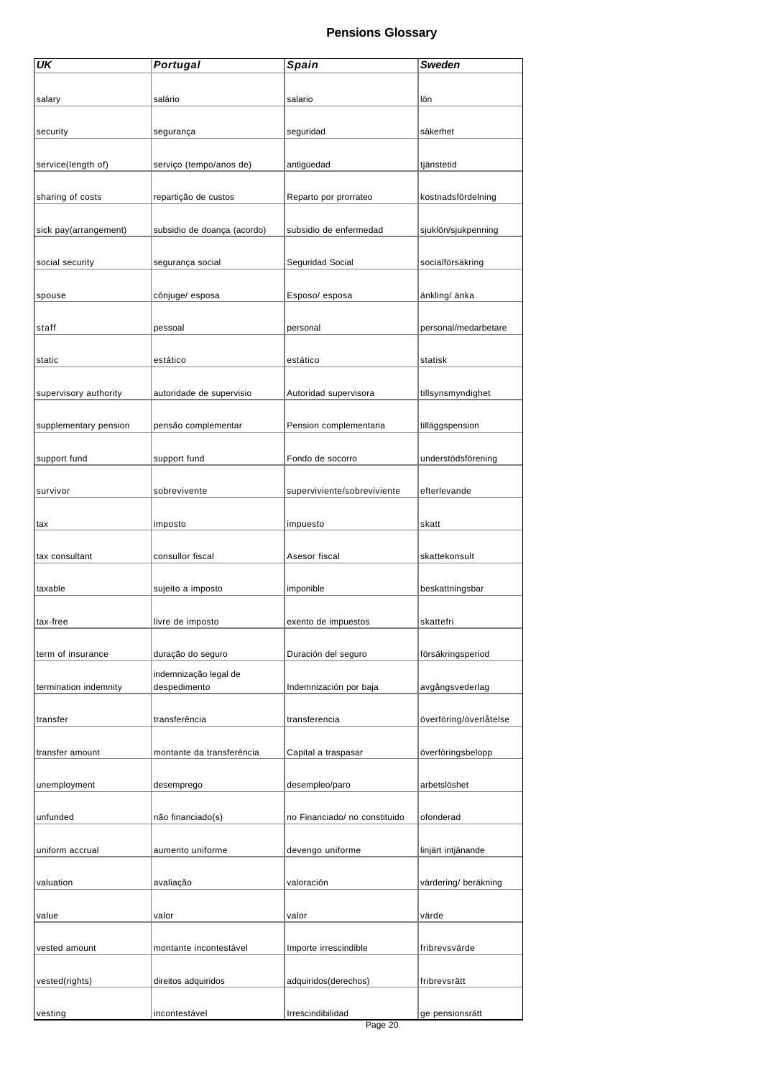| UK                    | <b>Portugal</b>             | Spain                         | Sweden                 |
|-----------------------|-----------------------------|-------------------------------|------------------------|
|                       |                             |                               |                        |
| salary                | salário                     | salario                       | lön                    |
|                       |                             |                               |                        |
| security              | segurança                   | seguridad                     | säkerhet               |
|                       |                             |                               |                        |
| service(length of)    | serviço (tempo/anos de)     | antigüedad                    | tjänstetid             |
|                       |                             |                               |                        |
| sharing of costs      | repartição de custos        | Reparto por prorrateo         | kostnadsfördelning     |
|                       |                             |                               |                        |
| sick pay(arrangement) | subsidio de doança (acordo) | subsidio de enfermedad        | sjuklön/sjukpenning    |
| social security       | segurança social            | Seguridad Social              | socialförsäkring       |
|                       |                             |                               |                        |
| spouse                | cônjuge/ esposa             | Esposo/esposa                 | änkling/ änka          |
|                       |                             |                               |                        |
| staff                 | pessoal                     | personal                      | personal/medarbetare   |
|                       |                             |                               |                        |
| static                | estático                    | estático                      | statisk                |
|                       |                             |                               |                        |
| supervisory authority | autoridade de supervisio    | Autoridad supervisora         | tillsynsmyndighet      |
|                       |                             |                               |                        |
| supplementary pension | pensão complementar         | Pension complementaria        | tilläggspension        |
|                       |                             |                               |                        |
| support fund          | support fund                | Fondo de socorro              | understödsförening     |
|                       |                             |                               |                        |
| survivor              | sobrevivente                | superviviente/sobreviviente   | efterlevande           |
| tax                   | imposto                     | impuesto                      | skatt                  |
|                       |                             |                               |                        |
| tax consultant        | consullor fiscal            | Asesor fiscal                 | skattekonsult          |
|                       |                             |                               |                        |
| taxable               | sujeito a imposto           | imponible                     | beskattningsbar        |
|                       |                             |                               |                        |
| tax-free              | livre de imposto            | exento de impuestos           | skattefri              |
|                       |                             |                               |                        |
| term of insurance     | duração do seguro           | Duración del seguro           | försäkringsperiod      |
|                       | indemnização legal de       |                               |                        |
| termination indemnity | despedimento                | Indemnización por baja        | avgångsvederlag        |
|                       |                             |                               |                        |
| transfer              | transferência               | transferencia                 | överföring/överlåtelse |
| transfer amount       | montante da transferència   | Capital a traspasar           | överföringsbelopp      |
|                       |                             |                               |                        |
| unemployment          | desemprego                  | desempleo/paro                | arbetslöshet           |
|                       |                             |                               |                        |
| unfunded              | não financiado(s)           | no Financiado/ no constituido | ofonderad              |
|                       |                             |                               |                        |
| uniform accrual       | aumento uniforme            | devengo uniforme              | linjärt intjänande     |
|                       |                             |                               |                        |
| valuation             | avaliação                   | valoración                    | värdering/ beräkning   |
|                       |                             |                               |                        |
| value                 | valor                       | valor                         | värde                  |
| vested amount         | montante incontestável      | Importe irrescindible         | fribrevsvärde          |
|                       |                             |                               |                        |
| vested(rights)        | direitos adquiridos         | adquiridos(derechos)          | fribrevsrätt           |
|                       |                             |                               |                        |
| vesting               | incontestável               | Irrescindibilidad             | ge pensionsrätt        |